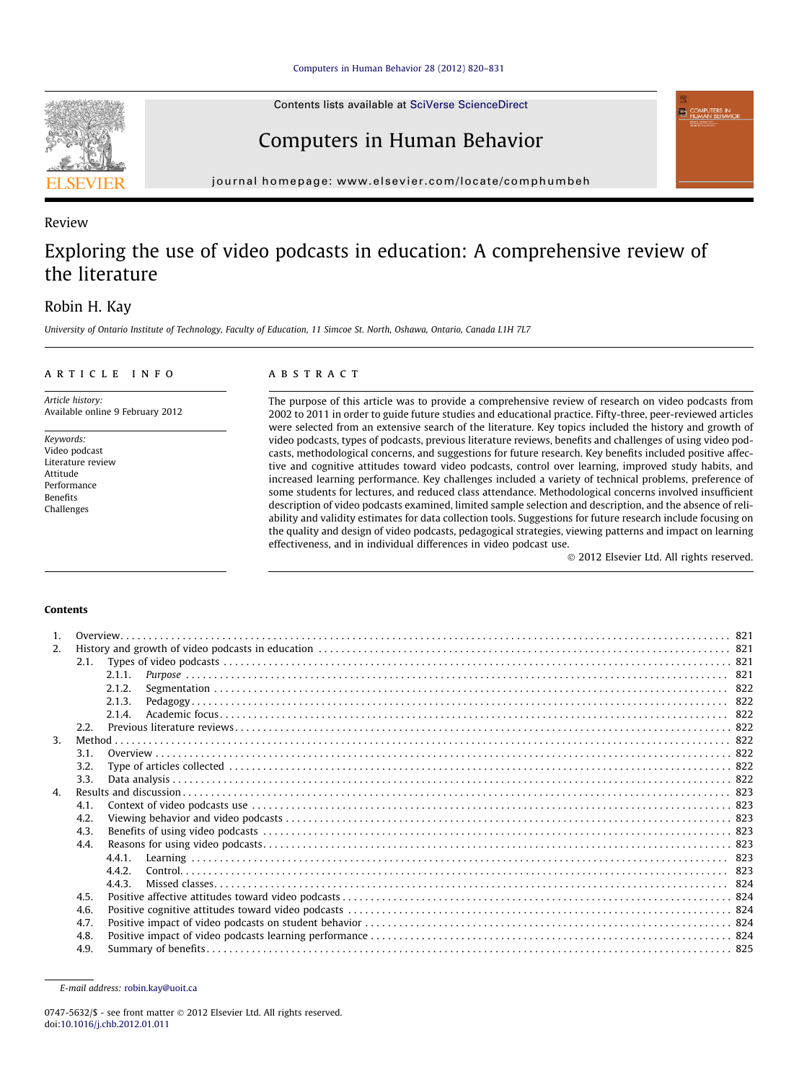Contents lists available at [SciVerse ScienceDirect](http://www.sciencedirect.com/science/journal/07475632)

# Computers in Human Behavior

journal homepage: [www.elsevier.com/locate/comphumbeh](http://www.elsevier.com/locate/comphumbeh)

# Review

# Exploring the use of video podcasts in education: A comprehensive review of the literature

# Robin H. Kay

University of Ontario Institute of Technology, Faculty of Education, 11 Simcoe St. North, Oshawa, Ontario, Canada L1H 7L7

# article info

Article history: Available online 9 February 2012

Keywords: Video podcast Literature review Attitude Performance Benefits Challenges

## ABSTRACT

The purpose of this article was to provide a comprehensive review of research on video podcasts from 2002 to 2011 in order to guide future studies and educational practice. Fifty-three, peer-reviewed articles were selected from an extensive search of the literature. Key topics included the history and growth of video podcasts, types of podcasts, previous literature reviews, benefits and challenges of using video podcasts, methodological concerns, and suggestions for future research. Key benefits included positive affective and cognitive attitudes toward video podcasts, control over learning, improved study habits, and increased learning performance. Key challenges included a variety of technical problems, preference of some students for lectures, and reduced class attendance. Methodological concerns involved insufficient description of video podcasts examined, limited sample selection and description, and the absence of reliability and validity estimates for data collection tools. Suggestions for future research include focusing on the quality and design of video podcasts, pedagogical strategies, viewing patterns and impact on learning effectiveness, and in individual differences in video podcast use.

- 2012 Elsevier Ltd. All rights reserved.

## **Contents**

| $\mathbf{1}$ . |      |        |  |
|----------------|------|--------|--|
| 2.             |      |        |  |
|                |      |        |  |
|                |      | 2.1.1. |  |
|                |      | 2.1.2. |  |
|                |      | 2.1.3. |  |
|                |      | 2.1.4  |  |
|                | 2.2. |        |  |
| $\mathbf{3}$   |      |        |  |
|                | 3.1. |        |  |
|                | 3.2. |        |  |
|                | 3.3. |        |  |
| $\mathbf{A}$   |      |        |  |
|                | 4.1. |        |  |
|                | 4.2. |        |  |
|                | 4.3. |        |  |
|                | 4.4. |        |  |
|                |      | 441    |  |
|                |      | 442    |  |
|                |      | 4.4.3. |  |
|                | 4.5. |        |  |
|                | 4.6. |        |  |
|                | 4.7. |        |  |
|                | 4.8. |        |  |
|                | 4.9. |        |  |



E-mail address: [robin.kay@uoit.ca](mailto:robin.kay@uoit.ca)

<sup>0747-5632/\$ -</sup> see front matter © 2012 Elsevier Ltd. All rights reserved. doi:[10.1016/j.chb.2012.01.011](http://dx.doi.org/10.1016/j.chb.2012.01.011)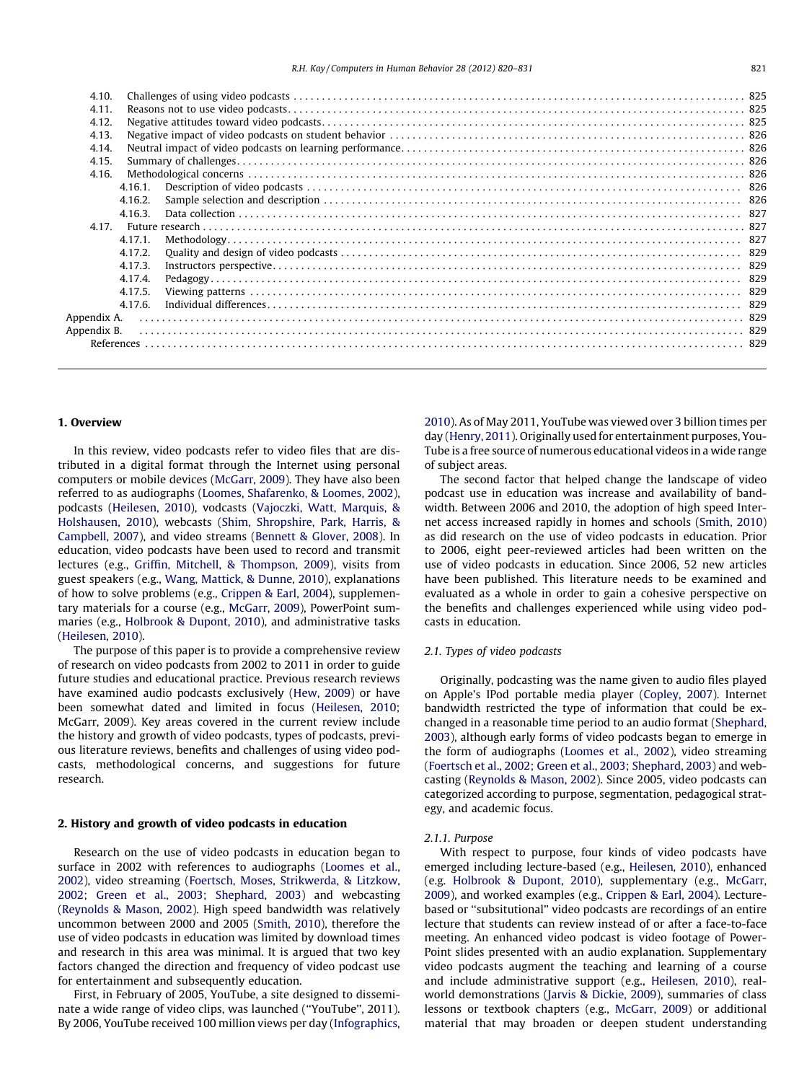| 4.10.       |         |  |  |  |  |  |  |  |  |  |  |  |  |
|-------------|---------|--|--|--|--|--|--|--|--|--|--|--|--|
| 4.11.       |         |  |  |  |  |  |  |  |  |  |  |  |  |
| 4.12.       |         |  |  |  |  |  |  |  |  |  |  |  |  |
| 4.13.       |         |  |  |  |  |  |  |  |  |  |  |  |  |
| 4.14.       |         |  |  |  |  |  |  |  |  |  |  |  |  |
| 4.15.       |         |  |  |  |  |  |  |  |  |  |  |  |  |
| 4.16.       |         |  |  |  |  |  |  |  |  |  |  |  |  |
|             | 4.16.1. |  |  |  |  |  |  |  |  |  |  |  |  |
|             | 4.16.2. |  |  |  |  |  |  |  |  |  |  |  |  |
|             | 4.16.3. |  |  |  |  |  |  |  |  |  |  |  |  |
|             |         |  |  |  |  |  |  |  |  |  |  |  |  |
|             | 4.17.1. |  |  |  |  |  |  |  |  |  |  |  |  |
|             | 4.17.2. |  |  |  |  |  |  |  |  |  |  |  |  |
|             | 4.17.3. |  |  |  |  |  |  |  |  |  |  |  |  |
|             | 4.17.4. |  |  |  |  |  |  |  |  |  |  |  |  |
|             | 4.17.5. |  |  |  |  |  |  |  |  |  |  |  |  |
|             | 4.17.6. |  |  |  |  |  |  |  |  |  |  |  |  |
| Appendix A. |         |  |  |  |  |  |  |  |  |  |  |  |  |
| Appendix B. |         |  |  |  |  |  |  |  |  |  |  |  |  |
|             |         |  |  |  |  |  |  |  |  |  |  |  |  |
|             |         |  |  |  |  |  |  |  |  |  |  |  |  |

## 1. Overview

In this review, video podcasts refer to video files that are distributed in a digital format through the Internet using personal computers or mobile devices ([McGarr, 2009](#page-10-0)). They have also been referred to as audiographs [\(Loomes, Shafarenko, & Loomes, 2002\)](#page-10-0), podcasts [\(Heilesen, 2010\)](#page-10-0), vodcasts [\(Vajoczki, Watt, Marquis, &](#page-10-0) [Holshausen, 2010\)](#page-10-0), webcasts ([Shim, Shropshire, Park, Harris, &](#page-10-0) [Campbell, 2007](#page-10-0)), and video streams [\(Bennett & Glover, 2008\)](#page-9-0). In education, video podcasts have been used to record and transmit lectures (e.g., [Griffin, Mitchell, & Thompson, 2009\)](#page-10-0), visits from guest speakers (e.g., [Wang, Mattick, & Dunne, 2010\)](#page-10-0), explanations of how to solve problems (e.g., [Crippen & Earl, 2004](#page-10-0)), supplementary materials for a course (e.g., [McGarr, 2009\)](#page-10-0), PowerPoint summaries (e.g., [Holbrook & Dupont, 2010](#page-10-0)), and administrative tasks ([Heilesen, 2010](#page-10-0)).

The purpose of this paper is to provide a comprehensive review of research on video podcasts from 2002 to 2011 in order to guide future studies and educational practice. Previous research reviews have examined audio podcasts exclusively [\(Hew, 2009](#page-10-0)) or have been somewhat dated and limited in focus ([Heilesen, 2010;](#page-10-0) McGarr, 2009). Key areas covered in the current review include the history and growth of video podcasts, types of podcasts, previous literature reviews, benefits and challenges of using video podcasts, methodological concerns, and suggestions for future research.

#### 2. History and growth of video podcasts in education

Research on the use of video podcasts in education began to surface in 2002 with references to audiographs ([Loomes et al.,](#page-10-0) [2002](#page-10-0)), video streaming ([Foertsch, Moses, Strikwerda, & Litzkow,](#page-10-0) [2002; Green et al., 2003; Shephard, 2003](#page-10-0)) and webcasting ([Reynolds & Mason, 2002](#page-10-0)). High speed bandwidth was relatively uncommon between 2000 and 2005 [\(Smith, 2010](#page-10-0)), therefore the use of video podcasts in education was limited by download times and research in this area was minimal. It is argued that two key factors changed the direction and frequency of video podcast use for entertainment and subsequently education.

First, in February of 2005, YouTube, a site designed to disseminate a wide range of video clips, was launched (''YouTube'', 2011). By 2006, YouTube received 100 million views per day [\(Infographics,](#page-10-0) [2010](#page-10-0)). As of May 2011, YouTube was viewed over 3 billion times per day ([Henry, 2011](#page-10-0)). Originally used for entertainment purposes, You-Tube is a free source of numerous educational videos in a wide range of subject areas.

The second factor that helped change the landscape of video podcast use in education was increase and availability of bandwidth. Between 2006 and 2010, the adoption of high speed Internet access increased rapidly in homes and schools [\(Smith, 2010\)](#page-10-0) as did research on the use of video podcasts in education. Prior to 2006, eight peer-reviewed articles had been written on the use of video podcasts in education. Since 2006, 52 new articles have been published. This literature needs to be examined and evaluated as a whole in order to gain a cohesive perspective on the benefits and challenges experienced while using video podcasts in education.

# 2.1. Types of video podcasts

Originally, podcasting was the name given to audio files played on Apple's IPod portable media player [\(Copley, 2007\)](#page-10-0). Internet bandwidth restricted the type of information that could be exchanged in a reasonable time period to an audio format [\(Shephard,](#page-10-0) [2003](#page-10-0)), although early forms of video podcasts began to emerge in the form of audiographs [\(Loomes et al., 2002](#page-10-0)), video streaming ([Foertsch et al., 2002; Green et al., 2003; Shephard, 2003](#page-10-0)) and webcasting ([Reynolds & Mason, 2002](#page-10-0)). Since 2005, video podcasts can categorized according to purpose, segmentation, pedagogical strategy, and academic focus.

#### 2.1.1. Purpose

With respect to purpose, four kinds of video podcasts have emerged including lecture-based (e.g., [Heilesen, 2010](#page-10-0)), enhanced (e.g. [Holbrook & Dupont, 2010\)](#page-10-0), supplementary (e.g., [McGarr,](#page-10-0) [2009](#page-10-0)), and worked examples (e.g., [Crippen & Earl, 2004\)](#page-10-0). Lecturebased or ''subsitutional'' video podcasts are recordings of an entire lecture that students can review instead of or after a face-to-face meeting. An enhanced video podcast is video footage of Power-Point slides presented with an audio explanation. Supplementary video podcasts augment the teaching and learning of a course and include administrative support (e.g., [Heilesen, 2010\)](#page-10-0), realworld demonstrations [\(Jarvis & Dickie, 2009\)](#page-10-0), summaries of class lessons or textbook chapters (e.g., [McGarr, 2009\)](#page-10-0) or additional material that may broaden or deepen student understanding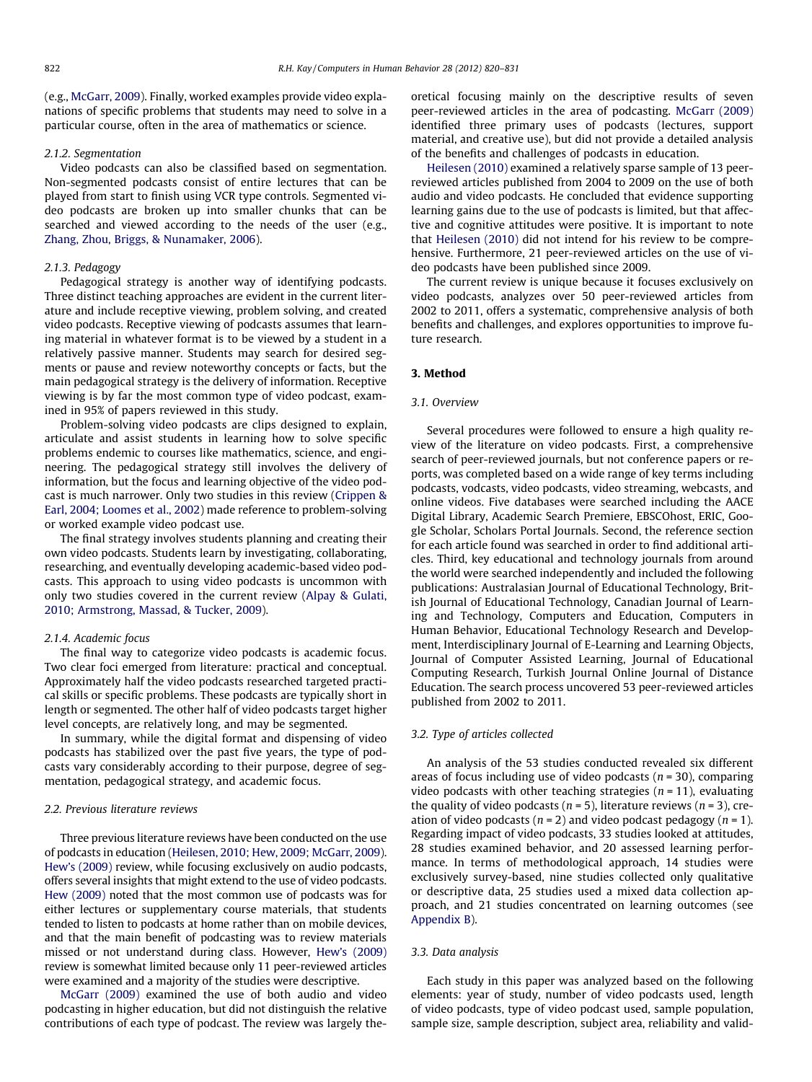(e.g., [McGarr, 2009](#page-10-0)). Finally, worked examples provide video explanations of specific problems that students may need to solve in a particular course, often in the area of mathematics or science.

#### 2.1.2. Segmentation

Video podcasts can also be classified based on segmentation. Non-segmented podcasts consist of entire lectures that can be played from start to finish using VCR type controls. Segmented video podcasts are broken up into smaller chunks that can be searched and viewed according to the needs of the user (e.g., [Zhang, Zhou, Briggs, & Nunamaker, 2006\)](#page-11-0).

# 2.1.3. Pedagogy

Pedagogical strategy is another way of identifying podcasts. Three distinct teaching approaches are evident in the current literature and include receptive viewing, problem solving, and created video podcasts. Receptive viewing of podcasts assumes that learning material in whatever format is to be viewed by a student in a relatively passive manner. Students may search for desired segments or pause and review noteworthy concepts or facts, but the main pedagogical strategy is the delivery of information. Receptive viewing is by far the most common type of video podcast, examined in 95% of papers reviewed in this study.

Problem-solving video podcasts are clips designed to explain, articulate and assist students in learning how to solve specific problems endemic to courses like mathematics, science, and engineering. The pedagogical strategy still involves the delivery of information, but the focus and learning objective of the video podcast is much narrower. Only two studies in this review ([Crippen &](#page-10-0) [Earl, 2004; Loomes et al., 2002\)](#page-10-0) made reference to problem-solving or worked example video podcast use.

The final strategy involves students planning and creating their own video podcasts. Students learn by investigating, collaborating, researching, and eventually developing academic-based video podcasts. This approach to using video podcasts is uncommon with only two studies covered in the current review ([Alpay & Gulati,](#page-9-0) [2010; Armstrong, Massad, & Tucker, 2009](#page-9-0)).

## 2.1.4. Academic focus

The final way to categorize video podcasts is academic focus. Two clear foci emerged from literature: practical and conceptual. Approximately half the video podcasts researched targeted practical skills or specific problems. These podcasts are typically short in length or segmented. The other half of video podcasts target higher level concepts, are relatively long, and may be segmented.

In summary, while the digital format and dispensing of video podcasts has stabilized over the past five years, the type of podcasts vary considerably according to their purpose, degree of segmentation, pedagogical strategy, and academic focus.

## 2.2. Previous literature reviews

Three previous literature reviews have been conducted on the use of podcasts in education [\(Heilesen, 2010; Hew, 2009; McGarr, 2009\)](#page-10-0). [Hew's \(2009\)](#page-10-0) review, while focusing exclusively on audio podcasts, offers several insights that might extend to the use of video podcasts. [Hew \(2009\)](#page-10-0) noted that the most common use of podcasts was for either lectures or supplementary course materials, that students tended to listen to podcasts at home rather than on mobile devices, and that the main benefit of podcasting was to review materials missed or not understand during class. However, [Hew's \(2009\)](#page-10-0) review is somewhat limited because only 11 peer-reviewed articles were examined and a majority of the studies were descriptive.

[McGarr \(2009\)](#page-10-0) examined the use of both audio and video podcasting in higher education, but did not distinguish the relative contributions of each type of podcast. The review was largely theoretical focusing mainly on the descriptive results of seven peer-reviewed articles in the area of podcasting. [McGarr \(2009\)](#page-10-0) identified three primary uses of podcasts (lectures, support material, and creative use), but did not provide a detailed analysis of the benefits and challenges of podcasts in education.

[Heilesen \(2010\)](#page-10-0) examined a relatively sparse sample of 13 peerreviewed articles published from 2004 to 2009 on the use of both audio and video podcasts. He concluded that evidence supporting learning gains due to the use of podcasts is limited, but that affective and cognitive attitudes were positive. It is important to note that [Heilesen \(2010\)](#page-10-0) did not intend for his review to be comprehensive. Furthermore, 21 peer-reviewed articles on the use of video podcasts have been published since 2009.

The current review is unique because it focuses exclusively on video podcasts, analyzes over 50 peer-reviewed articles from 2002 to 2011, offers a systematic, comprehensive analysis of both benefits and challenges, and explores opportunities to improve future research.

#### 3. Method

#### 3.1. Overview

Several procedures were followed to ensure a high quality review of the literature on video podcasts. First, a comprehensive search of peer-reviewed journals, but not conference papers or reports, was completed based on a wide range of key terms including podcasts, vodcasts, video podcasts, video streaming, webcasts, and online videos. Five databases were searched including the AACE Digital Library, Academic Search Premiere, EBSCOhost, ERIC, Google Scholar, Scholars Portal Journals. Second, the reference section for each article found was searched in order to find additional articles. Third, key educational and technology journals from around the world were searched independently and included the following publications: Australasian Journal of Educational Technology, British Journal of Educational Technology, Canadian Journal of Learning and Technology, Computers and Education, Computers in Human Behavior, Educational Technology Research and Development, Interdisciplinary Journal of E-Learning and Learning Objects, Journal of Computer Assisted Learning, Journal of Educational Computing Research, Turkish Journal Online Journal of Distance Education. The search process uncovered 53 peer-reviewed articles published from 2002 to 2011.

## 3.2. Type of articles collected

An analysis of the 53 studies conducted revealed six different areas of focus including use of video podcasts ( $n = 30$ ), comparing video podcasts with other teaching strategies ( $n = 11$ ), evaluating the quality of video podcasts ( $n = 5$ ), literature reviews ( $n = 3$ ), creation of video podcasts  $(n = 2)$  and video podcast pedagogy  $(n = 1)$ . Regarding impact of video podcasts, 33 studies looked at attitudes, 28 studies examined behavior, and 20 assessed learning performance. In terms of methodological approach, 14 studies were exclusively survey-based, nine studies collected only qualitative or descriptive data, 25 studies used a mixed data collection approach, and 21 studies concentrated on learning outcomes (see [Appendix B](#page-9-0)).

# 3.3. Data analysis

Each study in this paper was analyzed based on the following elements: year of study, number of video podcasts used, length of video podcasts, type of video podcast used, sample population, sample size, sample description, subject area, reliability and valid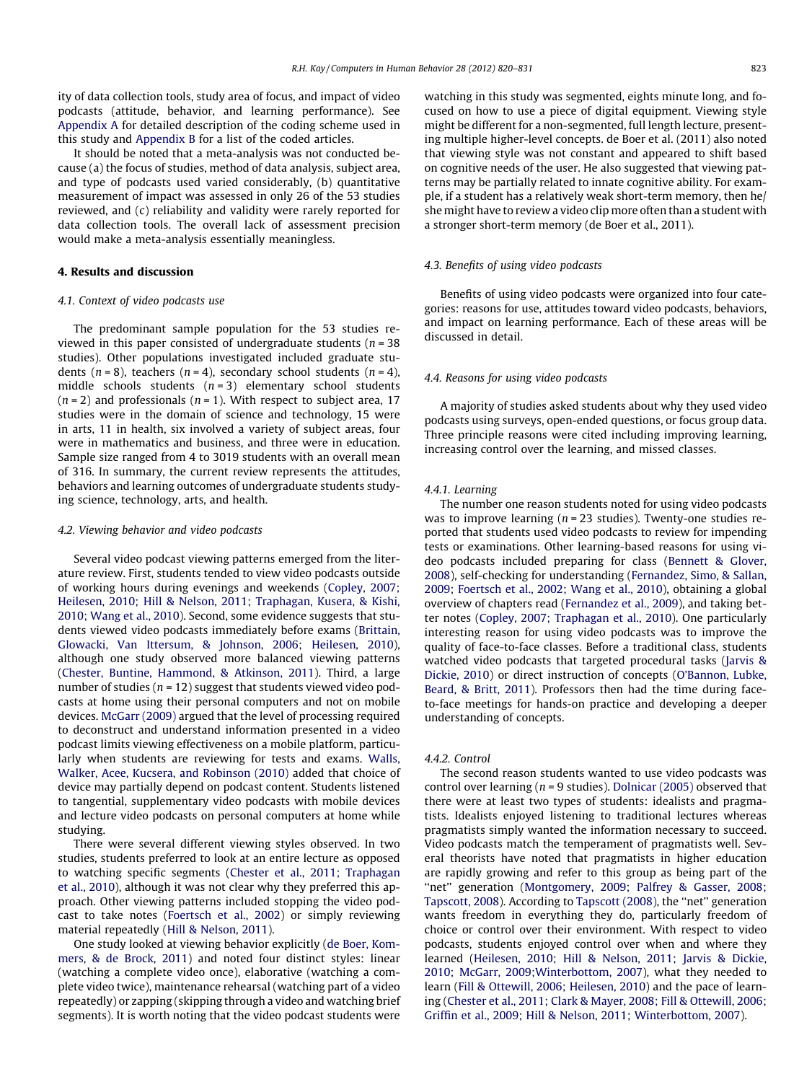ity of data collection tools, study area of focus, and impact of video podcasts (attitude, behavior, and learning performance). See [Appendix A](#page-9-0) for detailed description of the coding scheme used in this study and [Appendix B](#page-9-0) for a list of the coded articles.

It should be noted that a meta-analysis was not conducted because (a) the focus of studies, method of data analysis, subject area, and type of podcasts used varied considerably, (b) quantitative measurement of impact was assessed in only 26 of the 53 studies reviewed, and (c) reliability and validity were rarely reported for data collection tools. The overall lack of assessment precision would make a meta-analysis essentially meaningless.

# 4. Results and discussion

#### 4.1. Context of video podcasts use

The predominant sample population for the 53 studies reviewed in this paper consisted of undergraduate students ( $n = 38$ ) studies). Other populations investigated included graduate students ( $n = 8$ ), teachers ( $n = 4$ ), secondary school students ( $n = 4$ ), middle schools students  $(n = 3)$  elementary school students  $(n = 2)$  and professionals  $(n = 1)$ . With respect to subject area, 17 studies were in the domain of science and technology, 15 were in arts, 11 in health, six involved a variety of subject areas, four were in mathematics and business, and three were in education. Sample size ranged from 4 to 3019 students with an overall mean of 316. In summary, the current review represents the attitudes, behaviors and learning outcomes of undergraduate students studying science, technology, arts, and health.

#### 4.2. Viewing behavior and video podcasts

Several video podcast viewing patterns emerged from the literature review. First, students tended to view video podcasts outside of working hours during evenings and weekends ([Copley, 2007;](#page-10-0) [Heilesen, 2010; Hill & Nelson, 2011; Traphagan, Kusera, & Kishi,](#page-10-0) [2010; Wang et al., 2010\)](#page-10-0). Second, some evidence suggests that students viewed video podcasts immediately before exams [\(Brittain,](#page-10-0) [Glowacki, Van Ittersum, & Johnson, 2006; Heilesen, 2010\)](#page-10-0), although one study observed more balanced viewing patterns ([Chester, Buntine, Hammond, & Atkinson, 2011\)](#page-10-0). Third, a large number of studies ( $n = 12$ ) suggest that students viewed video podcasts at home using their personal computers and not on mobile devices. [McGarr \(2009\)](#page-10-0) argued that the level of processing required to deconstruct and understand information presented in a video podcast limits viewing effectiveness on a mobile platform, particularly when students are reviewing for tests and exams. [Walls,](#page-10-0) [Walker, Acee, Kucsera, and Robinson \(2010\)](#page-10-0) added that choice of device may partially depend on podcast content. Students listened to tangential, supplementary video podcasts with mobile devices and lecture video podcasts on personal computers at home while studying.

There were several different viewing styles observed. In two studies, students preferred to look at an entire lecture as opposed to watching specific segments ([Chester et al., 2011; Traphagan](#page-10-0) [et al., 2010](#page-10-0)), although it was not clear why they preferred this approach. Other viewing patterns included stopping the video podcast to take notes [\(Foertsch et al., 2002\)](#page-10-0) or simply reviewing material repeatedly ([Hill & Nelson, 2011\)](#page-10-0).

One study looked at viewing behavior explicitly [\(de Boer, Kom](#page-10-0)[mers, & de Brock, 2011\)](#page-10-0) and noted four distinct styles: linear (watching a complete video once), elaborative (watching a complete video twice), maintenance rehearsal (watching part of a video repeatedly) or zapping (skipping through a video and watching brief segments). It is worth noting that the video podcast students were

watching in this study was segmented, eights minute long, and focused on how to use a piece of digital equipment. Viewing style might be different for a non-segmented, full length lecture, presenting multiple higher-level concepts. de Boer et al. (2011) also noted that viewing style was not constant and appeared to shift based on cognitive needs of the user. He also suggested that viewing patterns may be partially related to innate cognitive ability. For example, if a student has a relatively weak short-term memory, then he/ she might have to review a video clip more often than a student with a stronger short-term memory (de Boer et al., 2011).

#### 4.3. Benefits of using video podcasts

Benefits of using video podcasts were organized into four categories: reasons for use, attitudes toward video podcasts, behaviors, and impact on learning performance. Each of these areas will be discussed in detail.

#### 4.4. Reasons for using video podcasts

A majority of studies asked students about why they used video podcasts using surveys, open-ended questions, or focus group data. Three principle reasons were cited including improving learning, increasing control over the learning, and missed classes.

#### 4.4.1. Learning

The number one reason students noted for using video podcasts was to improve learning ( $n = 23$  studies). Twenty-one studies reported that students used video podcasts to review for impending tests or examinations. Other learning-based reasons for using video podcasts included preparing for class [\(Bennett & Glover,](#page-9-0) [2008](#page-9-0)), self-checking for understanding [\(Fernandez, Simo, & Sallan,](#page-10-0) [2009; Foertsch et al., 2002; Wang et al., 2010](#page-10-0)), obtaining a global overview of chapters read ([Fernandez et al., 2009\)](#page-10-0), and taking better notes ([Copley, 2007; Traphagan et al., 2010\)](#page-10-0). One particularly interesting reason for using video podcasts was to improve the quality of face-to-face classes. Before a traditional class, students watched video podcasts that targeted procedural tasks ([Jarvis &](#page-10-0) [Dickie, 2010](#page-10-0)) or direct instruction of concepts ([O'Bannon, Lubke,](#page-10-0) [Beard, & Britt, 2011](#page-10-0)). Professors then had the time during faceto-face meetings for hands-on practice and developing a deeper understanding of concepts.

#### 4.4.2. Control

The second reason students wanted to use video podcasts was control over learning ( $n = 9$  studies). [Dolnicar \(2005\)](#page-10-0) observed that there were at least two types of students: idealists and pragmatists. Idealists enjoyed listening to traditional lectures whereas pragmatists simply wanted the information necessary to succeed. Video podcasts match the temperament of pragmatists well. Several theorists have noted that pragmatists in higher education are rapidly growing and refer to this group as being part of the "net" generation ([Montgomery, 2009; Palfrey & Gasser, 2008;](#page-10-0) [Tapscott, 2008](#page-10-0)). According to [Tapscott \(2008\),](#page-10-0) the ''net'' generation wants freedom in everything they do, particularly freedom of choice or control over their environment. With respect to video podcasts, students enjoyed control over when and where they learned ([Heilesen, 2010; Hill & Nelson, 2011; Jarvis & Dickie,](#page-10-0) [2010; McGarr, 2009;Winterbottom, 2007\)](#page-10-0), what they needed to learn [\(Fill & Ottewill, 2006; Heilesen, 2010\)](#page-10-0) and the pace of learning [\(Chester et al., 2011; Clark & Mayer, 2008; Fill & Ottewill, 2006;](#page-10-0) [Griffin et al., 2009; Hill & Nelson, 2011; Winterbottom, 2007](#page-10-0)).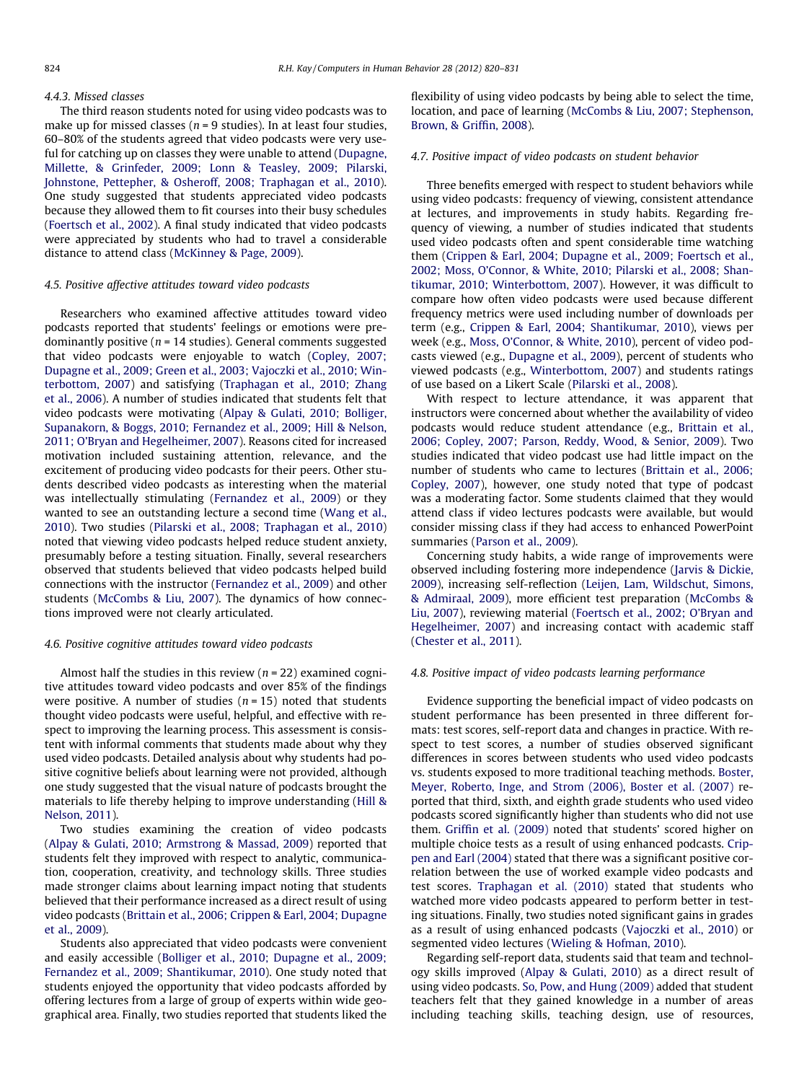#### 4.4.3. Missed classes

The third reason students noted for using video podcasts was to make up for missed classes ( $n = 9$  studies). In at least four studies, 60–80% of the students agreed that video podcasts were very useful for catching up on classes they were unable to attend [\(Dupagne,](#page-10-0) [Millette, & Grinfeder, 2009; Lonn & Teasley, 2009; Pilarski,](#page-10-0) [Johnstone, Pettepher, & Osheroff, 2008; Traphagan et al., 2010\)](#page-10-0). One study suggested that students appreciated video podcasts because they allowed them to fit courses into their busy schedules ([Foertsch et al., 2002\)](#page-10-0). A final study indicated that video podcasts were appreciated by students who had to travel a considerable distance to attend class ([McKinney & Page, 2009\)](#page-10-0).

## 4.5. Positive affective attitudes toward video podcasts

Researchers who examined affective attitudes toward video podcasts reported that students' feelings or emotions were predominantly positive ( $n = 14$  studies). General comments suggested that video podcasts were enjoyable to watch ([Copley, 2007;](#page-10-0) [Dupagne et al., 2009; Green et al., 2003; Vajoczki et al., 2010; Win](#page-10-0)[terbottom, 2007\)](#page-10-0) and satisfying ([Traphagan et al., 2010; Zhang](#page-10-0) [et al., 2006\)](#page-10-0). A number of studies indicated that students felt that video podcasts were motivating [\(Alpay & Gulati, 2010; Bolliger,](#page-9-0) [Supanakorn, & Boggs, 2010; Fernandez et al., 2009; Hill & Nelson,](#page-9-0) [2011; O'Bryan and Hegelheimer, 2007](#page-9-0)). Reasons cited for increased motivation included sustaining attention, relevance, and the excitement of producing video podcasts for their peers. Other students described video podcasts as interesting when the material was intellectually stimulating [\(Fernandez et al., 2009\)](#page-10-0) or they wanted to see an outstanding lecture a second time [\(Wang et al.,](#page-10-0) [2010\)](#page-10-0). Two studies ([Pilarski et al., 2008; Traphagan et al., 2010\)](#page-10-0) noted that viewing video podcasts helped reduce student anxiety, presumably before a testing situation. Finally, several researchers observed that students believed that video podcasts helped build connections with the instructor [\(Fernandez et al., 2009\)](#page-10-0) and other students ([McCombs & Liu, 2007](#page-10-0)). The dynamics of how connections improved were not clearly articulated.

#### 4.6. Positive cognitive attitudes toward video podcasts

Almost half the studies in this review ( $n = 22$ ) examined cognitive attitudes toward video podcasts and over 85% of the findings were positive. A number of studies  $(n = 15)$  noted that students thought video podcasts were useful, helpful, and effective with respect to improving the learning process. This assessment is consistent with informal comments that students made about why they used video podcasts. Detailed analysis about why students had positive cognitive beliefs about learning were not provided, although one study suggested that the visual nature of podcasts brought the materials to life thereby helping to improve understanding [\(Hill &](#page-10-0) [Nelson, 2011](#page-10-0)).

Two studies examining the creation of video podcasts ([Alpay & Gulati, 2010; Armstrong & Massad, 2009\)](#page-9-0) reported that students felt they improved with respect to analytic, communication, cooperation, creativity, and technology skills. Three studies made stronger claims about learning impact noting that students believed that their performance increased as a direct result of using video podcasts [\(Brittain et al., 2006; Crippen & Earl, 2004; Dupagne](#page-10-0) [et al., 2009\)](#page-10-0).

Students also appreciated that video podcasts were convenient and easily accessible ([Bolliger et al., 2010; Dupagne et al., 2009;](#page-10-0) [Fernandez et al., 2009; Shantikumar, 2010\)](#page-10-0). One study noted that students enjoyed the opportunity that video podcasts afforded by offering lectures from a large of group of experts within wide geographical area. Finally, two studies reported that students liked the flexibility of using video podcasts by being able to select the time, location, and pace of learning [\(McCombs & Liu, 2007; Stephenson,](#page-10-0) [Brown, & Griffin, 2008](#page-10-0)).

#### 4.7. Positive impact of video podcasts on student behavior

Three benefits emerged with respect to student behaviors while using video podcasts: frequency of viewing, consistent attendance at lectures, and improvements in study habits. Regarding frequency of viewing, a number of studies indicated that students used video podcasts often and spent considerable time watching them [\(Crippen & Earl, 2004; Dupagne et al., 2009; Foertsch et al.,](#page-10-0) [2002; Moss, O'Connor, & White, 2010; Pilarski et al., 2008; Shan](#page-10-0)[tikumar, 2010; Winterbottom, 2007](#page-10-0)). However, it was difficult to compare how often video podcasts were used because different frequency metrics were used including number of downloads per term (e.g., [Crippen & Earl, 2004; Shantikumar, 2010](#page-10-0)), views per week (e.g., [Moss, O'Connor, & White, 2010](#page-10-0)), percent of video podcasts viewed (e.g., [Dupagne et al., 2009\)](#page-10-0), percent of students who viewed podcasts (e.g., [Winterbottom, 2007](#page-11-0)) and students ratings of use based on a Likert Scale ([Pilarski et al., 2008](#page-10-0)).

With respect to lecture attendance, it was apparent that instructors were concerned about whether the availability of video podcasts would reduce student attendance (e.g., [Brittain et al.,](#page-10-0) [2006; Copley, 2007; Parson, Reddy, Wood, & Senior, 2009](#page-10-0)). Two studies indicated that video podcast use had little impact on the number of students who came to lectures ([Brittain et al., 2006;](#page-10-0) [Copley, 2007\)](#page-10-0), however, one study noted that type of podcast was a moderating factor. Some students claimed that they would attend class if video lectures podcasts were available, but would consider missing class if they had access to enhanced PowerPoint summaries [\(Parson et al., 2009](#page-10-0)).

Concerning study habits, a wide range of improvements were observed including fostering more independence [\(Jarvis & Dickie,](#page-10-0) [2009\)](#page-10-0), increasing self-reflection [\(Leijen, Lam, Wildschut, Simons,](#page-10-0) [& Admiraal, 2009](#page-10-0)), more efficient test preparation [\(McCombs &](#page-10-0) [Liu, 2007\)](#page-10-0), reviewing material ([Foertsch et al., 2002; O'Bryan and](#page-10-0) [Hegelheimer, 2007\)](#page-10-0) and increasing contact with academic staff ([Chester et al., 2011\)](#page-10-0).

#### 4.8. Positive impact of video podcasts learning performance

Evidence supporting the beneficial impact of video podcasts on student performance has been presented in three different formats: test scores, self-report data and changes in practice. With respect to test scores, a number of studies observed significant differences in scores between students who used video podcasts vs. students exposed to more traditional teaching methods. [Boster,](#page-10-0) [Meyer, Roberto, Inge, and Strom \(2006\), Boster et al. \(2007\)](#page-10-0) reported that third, sixth, and eighth grade students who used video podcasts scored significantly higher than students who did not use them. [Griffin et al. \(2009\)](#page-10-0) noted that students' scored higher on multiple choice tests as a result of using enhanced podcasts. [Crip](#page-10-0)[pen and Earl \(2004\)](#page-10-0) stated that there was a significant positive correlation between the use of worked example video podcasts and test scores. [Traphagan et al. \(2010\)](#page-10-0) stated that students who watched more video podcasts appeared to perform better in testing situations. Finally, two studies noted significant gains in grades as a result of using enhanced podcasts ([Vajoczki et al., 2010](#page-10-0)) or segmented video lectures [\(Wieling & Hofman, 2010\)](#page-11-0).

Regarding self-report data, students said that team and technology skills improved [\(Alpay & Gulati, 2010\)](#page-9-0) as a direct result of using video podcasts. [So, Pow, and Hung \(2009\)](#page-10-0) added that student teachers felt that they gained knowledge in a number of areas including teaching skills, teaching design, use of resources,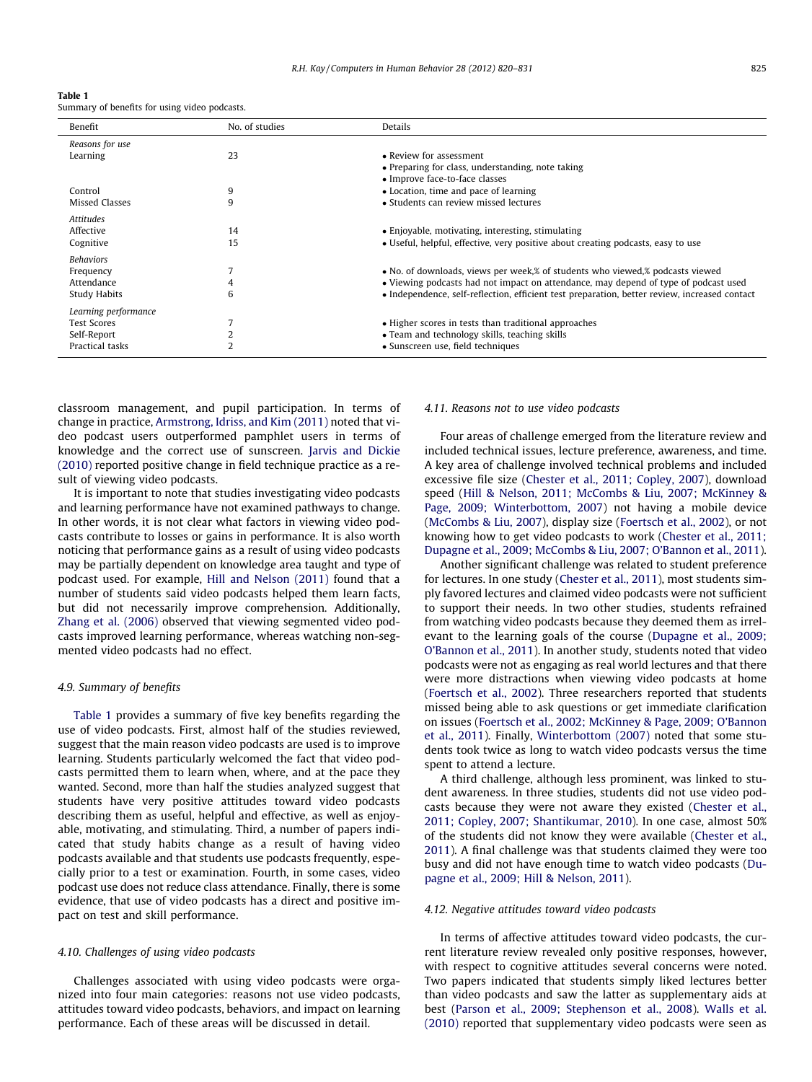<span id="page-5-0"></span>

| Table 1                                       |  |  |
|-----------------------------------------------|--|--|
| Summary of benefits for using video podcasts. |  |  |

| Benefit              | No. of studies | Details                                                                                       |
|----------------------|----------------|-----------------------------------------------------------------------------------------------|
| Reasons for use      |                |                                                                                               |
| Learning             | 23             | • Review for assessment                                                                       |
|                      |                | • Preparing for class, understanding, note taking                                             |
|                      |                | • Improve face-to-face classes                                                                |
| Control              | 9              | • Location, time and pace of learning                                                         |
| Missed Classes       | 9              | • Students can review missed lectures                                                         |
| <b>Attitudes</b>     |                |                                                                                               |
| Affective            | 14             | • Enjoyable, motivating, interesting, stimulating                                             |
| Cognitive            | 15             | • Useful, helpful, effective, very positive about creating podcasts, easy to use              |
|                      |                |                                                                                               |
| <b>Behaviors</b>     |                |                                                                                               |
| Frequency            |                | • No. of downloads, views per week, % of students who viewed, % podcasts viewed               |
| Attendance           | 4              | • Viewing podcasts had not impact on attendance, may depend of type of podcast used           |
| Study Habits         | 6              | • Independence, self-reflection, efficient test preparation, better review, increased contact |
| Learning performance |                |                                                                                               |
| <b>Test Scores</b>   |                | • Higher scores in tests than traditional approaches                                          |
| Self-Report          |                | • Team and technology skills, teaching skills                                                 |
| Practical tasks      | $\overline{2}$ | • Sunscreen use, field techniques                                                             |

classroom management, and pupil participation. In terms of change in practice, [Armstrong, Idriss, and Kim \(2011\)](#page-9-0) noted that video podcast users outperformed pamphlet users in terms of knowledge and the correct use of sunscreen. [Jarvis and Dickie](#page-10-0) [\(2010\)](#page-10-0) reported positive change in field technique practice as a result of viewing video podcasts.

It is important to note that studies investigating video podcasts and learning performance have not examined pathways to change. In other words, it is not clear what factors in viewing video podcasts contribute to losses or gains in performance. It is also worth noticing that performance gains as a result of using video podcasts may be partially dependent on knowledge area taught and type of podcast used. For example, [Hill and Nelson \(2011\)](#page-10-0) found that a number of students said video podcasts helped them learn facts, but did not necessarily improve comprehension. Additionally, [Zhang et al. \(2006\)](#page-11-0) observed that viewing segmented video podcasts improved learning performance, whereas watching non-segmented video podcasts had no effect.

#### 4.9. Summary of benefits

Table 1 provides a summary of five key benefits regarding the use of video podcasts. First, almost half of the studies reviewed, suggest that the main reason video podcasts are used is to improve learning. Students particularly welcomed the fact that video podcasts permitted them to learn when, where, and at the pace they wanted. Second, more than half the studies analyzed suggest that students have very positive attitudes toward video podcasts describing them as useful, helpful and effective, as well as enjoyable, motivating, and stimulating. Third, a number of papers indicated that study habits change as a result of having video podcasts available and that students use podcasts frequently, especially prior to a test or examination. Fourth, in some cases, video podcast use does not reduce class attendance. Finally, there is some evidence, that use of video podcasts has a direct and positive impact on test and skill performance.

#### 4.10. Challenges of using video podcasts

Challenges associated with using video podcasts were organized into four main categories: reasons not use video podcasts, attitudes toward video podcasts, behaviors, and impact on learning performance. Each of these areas will be discussed in detail.

# 4.11. Reasons not to use video podcasts

Four areas of challenge emerged from the literature review and included technical issues, lecture preference, awareness, and time. A key area of challenge involved technical problems and included excessive file size [\(Chester et al., 2011; Copley, 2007\)](#page-10-0), download speed ([Hill & Nelson, 2011; McCombs & Liu, 2007; McKinney &](#page-10-0) [Page, 2009; Winterbottom, 2007](#page-10-0)) not having a mobile device ([McCombs & Liu, 2007\)](#page-10-0), display size [\(Foertsch et al., 2002\)](#page-10-0), or not knowing how to get video podcasts to work [\(Chester et al., 2011;](#page-10-0) [Dupagne et al., 2009; McCombs & Liu, 2007; O'Bannon et al., 2011\)](#page-10-0).

Another significant challenge was related to student preference for lectures. In one study ([Chester et al., 2011\)](#page-10-0), most students simply favored lectures and claimed video podcasts were not sufficient to support their needs. In two other studies, students refrained from watching video podcasts because they deemed them as irrelevant to the learning goals of the course ([Dupagne et al., 2009;](#page-10-0) [O'Bannon et al., 2011\)](#page-10-0). In another study, students noted that video podcasts were not as engaging as real world lectures and that there were more distractions when viewing video podcasts at home ([Foertsch et al., 2002](#page-10-0)). Three researchers reported that students missed being able to ask questions or get immediate clarification on issues [\(Foertsch et al., 2002; McKinney & Page, 2009; O'Bannon](#page-10-0) [et al., 2011](#page-10-0)). Finally, [Winterbottom \(2007\)](#page-11-0) noted that some students took twice as long to watch video podcasts versus the time spent to attend a lecture.

A third challenge, although less prominent, was linked to student awareness. In three studies, students did not use video podcasts because they were not aware they existed ([Chester et al.,](#page-10-0) [2011; Copley, 2007; Shantikumar, 2010\)](#page-10-0). In one case, almost 50% of the students did not know they were available ([Chester et al.,](#page-10-0) [2011](#page-10-0)). A final challenge was that students claimed they were too busy and did not have enough time to watch video podcasts [\(Du](#page-10-0)[pagne et al., 2009; Hill & Nelson, 2011](#page-10-0)).

#### 4.12. Negative attitudes toward video podcasts

In terms of affective attitudes toward video podcasts, the current literature review revealed only positive responses, however, with respect to cognitive attitudes several concerns were noted. Two papers indicated that students simply liked lectures better than video podcasts and saw the latter as supplementary aids at best [\(Parson et al., 2009; Stephenson et al., 2008](#page-10-0)). [Walls et al.](#page-10-0) [\(2010\)](#page-10-0) reported that supplementary video podcasts were seen as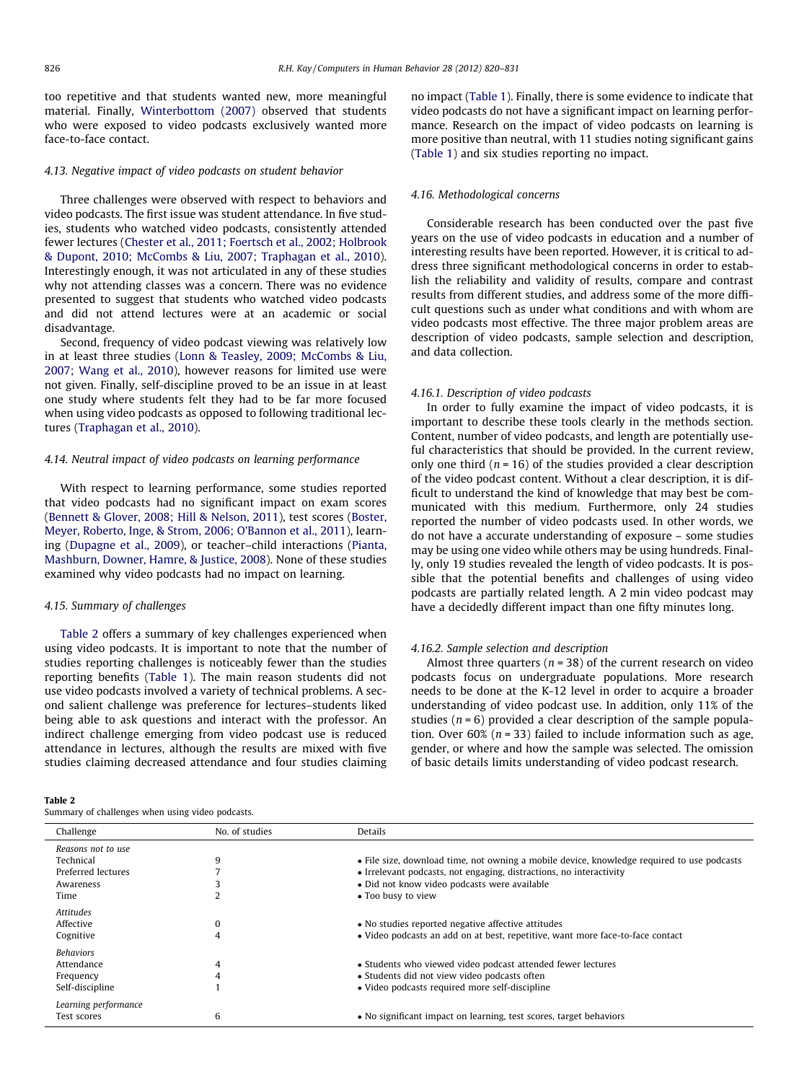too repetitive and that students wanted new, more meaningful material. Finally, [Winterbottom \(2007\)](#page-11-0) observed that students who were exposed to video podcasts exclusively wanted more face-to-face contact.

#### 4.13. Negative impact of video podcasts on student behavior

Three challenges were observed with respect to behaviors and video podcasts. The first issue was student attendance. In five studies, students who watched video podcasts, consistently attended fewer lectures ([Chester et al., 2011; Foertsch et al., 2002; Holbrook](#page-10-0) [& Dupont, 2010; McCombs & Liu, 2007; Traphagan et al., 2010\)](#page-10-0). Interestingly enough, it was not articulated in any of these studies why not attending classes was a concern. There was no evidence presented to suggest that students who watched video podcasts and did not attend lectures were at an academic or social disadvantage.

Second, frequency of video podcast viewing was relatively low in at least three studies ([Lonn & Teasley, 2009; McCombs & Liu,](#page-10-0) [2007; Wang et al., 2010](#page-10-0)), however reasons for limited use were not given. Finally, self-discipline proved to be an issue in at least one study where students felt they had to be far more focused when using video podcasts as opposed to following traditional lectures ([Traphagan et al., 2010](#page-10-0)).

### 4.14. Neutral impact of video podcasts on learning performance

With respect to learning performance, some studies reported that video podcasts had no significant impact on exam scores ([Bennett & Glover, 2008; Hill & Nelson, 2011\)](#page-9-0), test scores [\(Boster,](#page-10-0) [Meyer, Roberto, Inge, & Strom, 2006; O'Bannon et al., 2011](#page-10-0)), learning [\(Dupagne et al., 2009](#page-10-0)), or teacher–child interactions [\(Pianta,](#page-10-0) [Mashburn, Downer, Hamre, & Justice, 2008](#page-10-0)). None of these studies examined why video podcasts had no impact on learning.

#### 4.15. Summary of challenges

Table 2 offers a summary of key challenges experienced when using video podcasts. It is important to note that the number of studies reporting challenges is noticeably fewer than the studies reporting benefits [\(Table 1\)](#page-5-0). The main reason students did not use video podcasts involved a variety of technical problems. A second salient challenge was preference for lectures–students liked being able to ask questions and interact with the professor. An indirect challenge emerging from video podcast use is reduced attendance in lectures, although the results are mixed with five studies claiming decreased attendance and four studies claiming

#### Table 2

Summary of challenges when using video podcasts.

no impact ([Table 1\)](#page-5-0). Finally, there is some evidence to indicate that video podcasts do not have a significant impact on learning performance. Research on the impact of video podcasts on learning is more positive than neutral, with 11 studies noting significant gains ([Table 1\)](#page-5-0) and six studies reporting no impact.

#### 4.16. Methodological concerns

Considerable research has been conducted over the past five years on the use of video podcasts in education and a number of interesting results have been reported. However, it is critical to address three significant methodological concerns in order to establish the reliability and validity of results, compare and contrast results from different studies, and address some of the more difficult questions such as under what conditions and with whom are video podcasts most effective. The three major problem areas are description of video podcasts, sample selection and description, and data collection.

#### 4.16.1. Description of video podcasts

In order to fully examine the impact of video podcasts, it is important to describe these tools clearly in the methods section. Content, number of video podcasts, and length are potentially useful characteristics that should be provided. In the current review, only one third  $(n = 16)$  of the studies provided a clear description of the video podcast content. Without a clear description, it is difficult to understand the kind of knowledge that may best be communicated with this medium. Furthermore, only 24 studies reported the number of video podcasts used. In other words, we do not have a accurate understanding of exposure – some studies may be using one video while others may be using hundreds. Finally, only 19 studies revealed the length of video podcasts. It is possible that the potential benefits and challenges of using video podcasts are partially related length. A 2 min video podcast may have a decidedly different impact than one fifty minutes long.

#### 4.16.2. Sample selection and description

Almost three quarters ( $n = 38$ ) of the current research on video podcasts focus on undergraduate populations. More research needs to be done at the K-12 level in order to acquire a broader understanding of video podcast use. In addition, only 11% of the studies ( $n = 6$ ) provided a clear description of the sample population. Over  $60\%$  ( $n = 33$ ) failed to include information such as age, gender, or where and how the sample was selected. The omission of basic details limits understanding of video podcast research.

| Challenge            | No. of studies | Details                                                                                    |
|----------------------|----------------|--------------------------------------------------------------------------------------------|
| Reasons not to use   |                |                                                                                            |
| Technical            | 9              | • File size, download time, not owning a mobile device, knowledge required to use podcasts |
| Preferred lectures   |                | • Irrelevant podcasts, not engaging, distractions, no interactivity                        |
| Awareness            |                | • Did not know video podcasts were available                                               |
| Time                 |                | • Too busy to view                                                                         |
| Attitudes            |                |                                                                                            |
| Affective            | 0              | • No studies reported negative affective attitudes                                         |
| Cognitive            | 4              | • Video podcasts an add on at best, repetitive, want more face-to-face contact             |
| Behaviors            |                |                                                                                            |
| Attendance           | 4              | • Students who viewed video podcast attended fewer lectures                                |
| Frequency            | 4              | • Students did not view video podcasts often                                               |
|                      |                |                                                                                            |
| Self-discipline      |                | • Video podcasts required more self-discipline                                             |
| Learning performance |                |                                                                                            |
| Test scores          | 6              | • No significant impact on learning, test scores, target behaviors                         |
|                      |                |                                                                                            |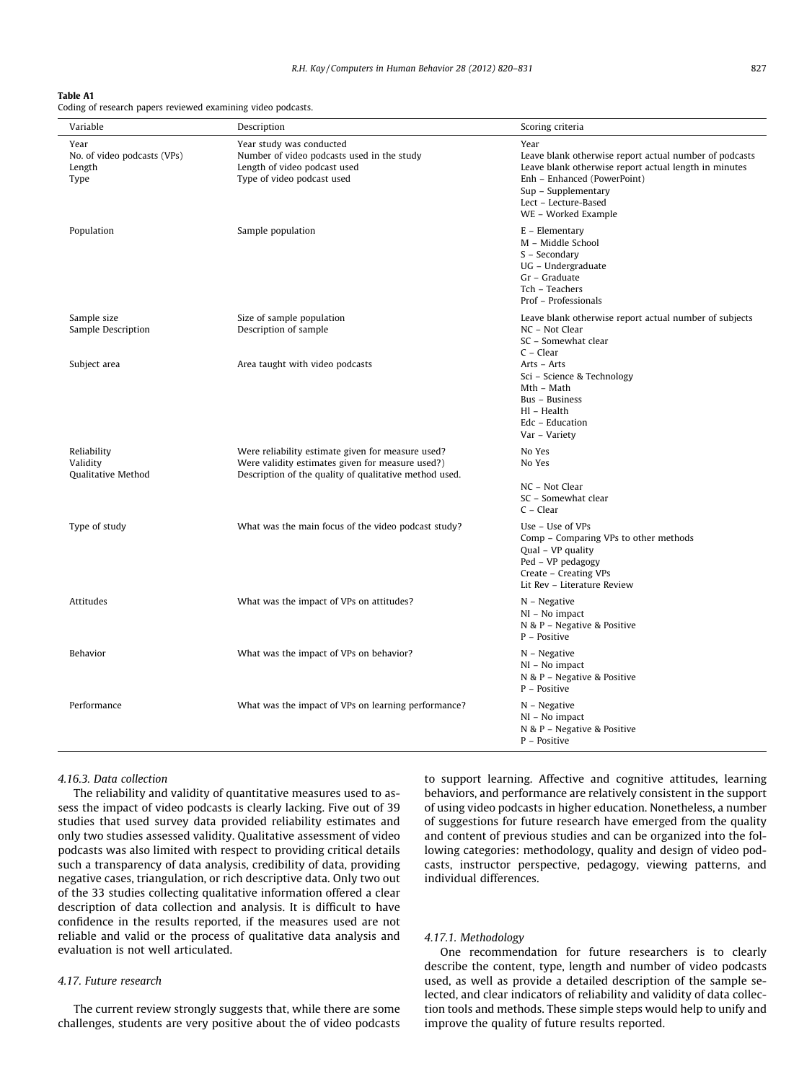#### <span id="page-7-0"></span>Table A1

Coding of research papers reviewed examining video podcasts.

| Variable                                              | Description                                                                                                                                                     | Scoring criteria                                                                                                                                                                                                             |
|-------------------------------------------------------|-----------------------------------------------------------------------------------------------------------------------------------------------------------------|------------------------------------------------------------------------------------------------------------------------------------------------------------------------------------------------------------------------------|
| Year<br>No. of video podcasts (VPs)<br>Length<br>Type | Year study was conducted<br>Number of video podcasts used in the study<br>Length of video podcast used<br>Type of video podcast used                            | Year<br>Leave blank otherwise report actual number of podcasts<br>Leave blank otherwise report actual length in minutes<br>Enh - Enhanced (PowerPoint)<br>Sup - Supplementary<br>Lect - Lecture-Based<br>WE - Worked Example |
| Population                                            | Sample population                                                                                                                                               | $E$ – Elementary<br>M - Middle School<br>S - Secondary<br>UG - Undergraduate<br>Gr - Graduate<br>Tch - Teachers<br>Prof - Professionals                                                                                      |
| Sample size<br>Sample Description                     | Size of sample population<br>Description of sample                                                                                                              | Leave blank otherwise report actual number of subjects<br>NC - Not Clear<br>SC - Somewhat clear<br>$C - Clear$                                                                                                               |
| Subject area                                          | Area taught with video podcasts                                                                                                                                 | Arts - Arts<br>Sci – Science & Technology<br>Mth – Math<br>Bus - Business<br>Hl - Health<br>Edc - Education<br>Var – Variety                                                                                                 |
| Reliability<br>Validity<br>Qualitative Method         | Were reliability estimate given for measure used?<br>Were validity estimates given for measure used?)<br>Description of the quality of qualitative method used. | No Yes<br>No Yes<br>NC - Not Clear<br>SC - Somewhat clear<br>$C - Clear$                                                                                                                                                     |
| Type of study                                         | What was the main focus of the video podcast study?                                                                                                             | Use - Use of VPs<br>Comp - Comparing VPs to other methods<br>Qual - VP quality<br>Ped - VP pedagogy<br>Create - Creating VPs<br>Lit Rev - Literature Review                                                                  |
| Attitudes                                             | What was the impact of VPs on attitudes?                                                                                                                        | $N - Negative$<br>NI - No impact<br>N & P - Negative & Positive<br>P - Positive                                                                                                                                              |
| Behavior                                              | What was the impact of VPs on behavior?                                                                                                                         | $N - Negative$<br>NI - No impact<br>N & P - Negative & Positive<br>P - Positive                                                                                                                                              |
| Performance                                           | What was the impact of VPs on learning performance?                                                                                                             | N – Negative<br>NI - No impact<br>N & P - Negative & Positive<br>P - Positive                                                                                                                                                |

## 4.16.3. Data collection

The reliability and validity of quantitative measures used to assess the impact of video podcasts is clearly lacking. Five out of 39 studies that used survey data provided reliability estimates and only two studies assessed validity. Qualitative assessment of video podcasts was also limited with respect to providing critical details such a transparency of data analysis, credibility of data, providing negative cases, triangulation, or rich descriptive data. Only two out of the 33 studies collecting qualitative information offered a clear description of data collection and analysis. It is difficult to have confidence in the results reported, if the measures used are not reliable and valid or the process of qualitative data analysis and evaluation is not well articulated.

# 4.17. Future research

The current review strongly suggests that, while there are some challenges, students are very positive about the of video podcasts to support learning. Affective and cognitive attitudes, learning behaviors, and performance are relatively consistent in the support of using video podcasts in higher education. Nonetheless, a number of suggestions for future research have emerged from the quality and content of previous studies and can be organized into the following categories: methodology, quality and design of video podcasts, instructor perspective, pedagogy, viewing patterns, and individual differences.

#### 4.17.1. Methodology

One recommendation for future researchers is to clearly describe the content, type, length and number of video podcasts used, as well as provide a detailed description of the sample selected, and clear indicators of reliability and validity of data collection tools and methods. These simple steps would help to unify and improve the quality of future results reported.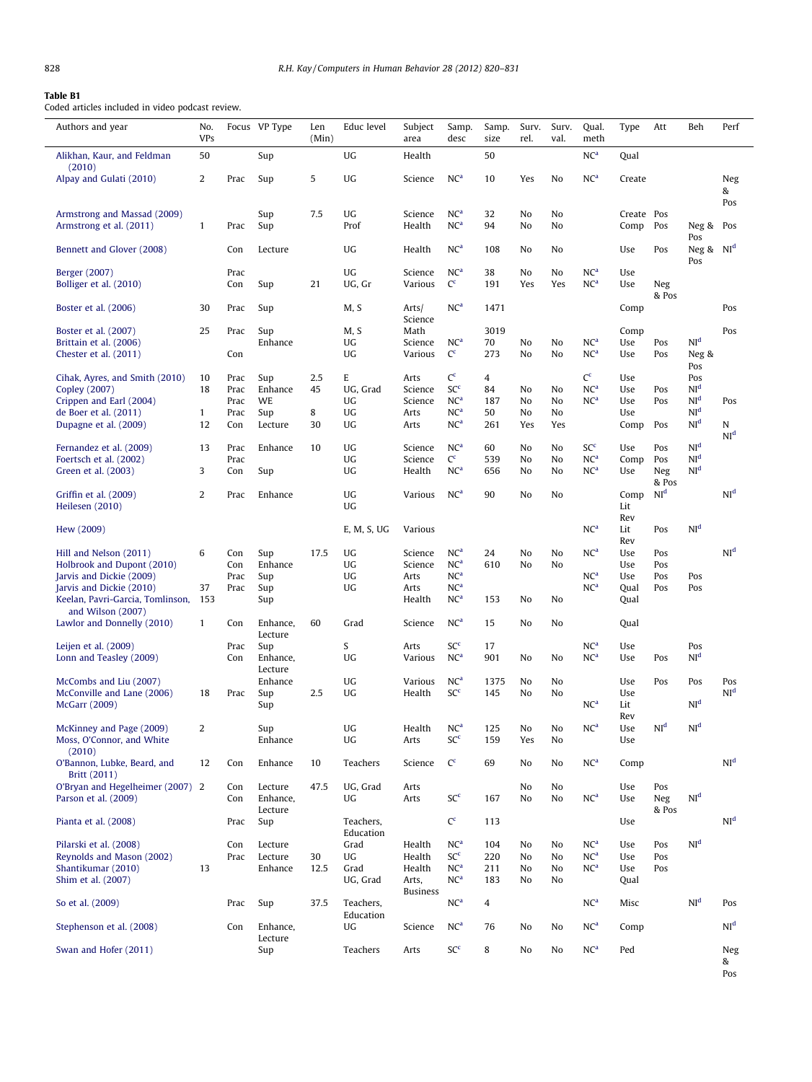# <span id="page-8-0"></span>Table B1

Coded articles included in video podcast review.

| Authors and year                                                                                | No.<br><b>VPs</b> |                      | Focus VP Type                  | Len<br>(Min) | Educ level                     | Subject<br>area                     | Samp.<br>desc                                                            | Samp.<br>size            | Surv.<br>rel.        | Surv.<br>val.        | Qual.<br>meth                                         | Type                      | Att                      | Beh                                                   | Perf                   |
|-------------------------------------------------------------------------------------------------|-------------------|----------------------|--------------------------------|--------------|--------------------------------|-------------------------------------|--------------------------------------------------------------------------|--------------------------|----------------------|----------------------|-------------------------------------------------------|---------------------------|--------------------------|-------------------------------------------------------|------------------------|
| Alikhan, Kaur, and Feldman                                                                      | 50                |                      | Sup                            |              | UG                             | Health                              |                                                                          | 50                       |                      |                      | NC <sup>a</sup>                                       | Oual                      |                          |                                                       |                        |
| (2010)<br>Alpay and Gulati (2010)                                                               | 2                 | Prac                 | Sup                            | 5            | UG                             | Science                             | NC <sup>a</sup>                                                          | 10                       | Yes                  | No                   | NC <sup>a</sup>                                       | Create                    |                          |                                                       | Neg<br>&<br>Pos        |
| Armstrong and Massad (2009)<br>Armstrong et al. (2011)                                          | $\mathbf{1}$      | Prac                 | Sup<br>Sup                     | 7.5          | UG<br>Prof                     | Science<br>Health                   | NC <sup>a</sup><br>NC <sup>a</sup>                                       | 32<br>94                 | No<br>No             | No<br>No             |                                                       | Create Pos<br>Comp        | Pos                      | Neg &<br>Pos                                          | Pos                    |
| Bennett and Glover (2008)                                                                       |                   | Con                  | Lecture                        |              | UG                             | Health                              | NC <sup>a</sup>                                                          | 108                      | No                   | No                   |                                                       | Use                       | Pos                      | Neg & $NId$<br>Pos                                    |                        |
| Berger (2007)<br>Bolliger et al. (2010)                                                         |                   | Prac<br>Con          | Sup                            | 21           | UG<br>UG, Gr                   | Science<br>Various                  | NC <sup>a</sup><br>$C^c$                                                 | 38<br>191                | No<br>Yes            | No<br>Yes            | NC <sup>a</sup><br>NC <sup>a</sup>                    | Use<br>Use                | Neg<br>& Pos             |                                                       |                        |
| Boster et al. (2006)                                                                            | 30                | Prac                 | Sup                            |              | M, S                           | Arts/<br>Science                    | NC <sup>a</sup>                                                          | 1471                     |                      |                      |                                                       | Comp                      |                          |                                                       | Pos                    |
| Boster et al. (2007)<br>Brittain et al. (2006)<br>Chester et al. (2011)                         | 25                | Prac<br>Con          | Sup<br>Enhance                 |              | M, S<br>UG<br>UG               | Math<br>Science<br>Various          | NC <sup>a</sup><br>$C^c$                                                 | 3019<br>70<br>273        | No<br>No             | No<br>No             | NC <sup>a</sup><br>NC <sup>a</sup>                    | Comp<br>Use<br>Use        | Pos<br>Pos               | NI <sup>d</sup><br>Neg &                              | Pos                    |
| Cihak, Ayres, and Smith (2010)<br>Copley (2007)<br>Crippen and Earl (2004)                      | 10<br>18          | Prac<br>Prac<br>Prac | Sup<br>Enhance<br><b>WE</b>    | 2.5<br>45    | E<br>UG, Grad<br>UG            | Arts<br>Science<br>Science          | $C^c$<br>SC <sup>c</sup><br>NC <sup>a</sup>                              | 4<br>84<br>187           | No<br>No             | No<br>No             | $C^c$<br>NC <sup>a</sup><br>NC <sup>a</sup>           | Use<br>Use<br>Use         | Pos<br>Pos               | Pos<br>Pos<br>NI <sup>d</sup><br>NI <sup>d</sup>      | Pos                    |
| de Boer et al. (2011)<br>Dupagne et al. (2009)                                                  | 1<br>12           | Prac<br>Con          | Sup<br>Lecture                 | 8<br>30      | UG<br>UG                       | Arts<br>Arts                        | NC <sup>a</sup><br>NC <sup>a</sup>                                       | 50<br>261                | No<br>Yes            | No<br>Yes            |                                                       | Use<br>Comp               | Pos                      | NI <sup>d</sup><br>NI <sup>d</sup>                    | N<br>NI <sup>d</sup>   |
| Fernandez et al. (2009)<br>Foertsch et al. (2002)<br>Green et al. (2003)                        | 13<br>3           | Prac<br>Prac<br>Con  | Enhance<br>Sup                 | 10           | UG<br>UG<br>UG                 | Science<br>Science<br>Health        | NC <sup>a</sup><br>$C^c$<br>NC <sup>a</sup>                              | 60<br>539<br>656         | No<br>No<br>No       | No<br>No<br>No       | SC <sup>c</sup><br>NC <sup>a</sup><br>NC <sup>a</sup> | Use<br>Comp<br>Use        | Pos<br>Pos<br>Neg        | NI <sup>d</sup><br>NI <sup>d</sup><br>NI <sup>d</sup> |                        |
| Griffin et al. (2009)<br>Heilesen (2010)                                                        | $\overline{2}$    | Prac                 | Enhance                        |              | UG<br>UG                       | Various                             | NC <sup>a</sup>                                                          | 90                       | No                   | No                   |                                                       | Comp<br>Lit               | & Pos<br>NI <sup>d</sup> |                                                       | NI <sup>d</sup>        |
| Hew (2009)                                                                                      |                   |                      |                                |              | E, M, S, UG                    | Various                             |                                                                          |                          |                      |                      | NC <sup>a</sup>                                       | Rev<br>Lit<br>Rev         | Pos                      | NI <sup>d</sup>                                       |                        |
| Hill and Nelson (2011)<br>Holbrook and Dupont (2010)<br>Jarvis and Dickie (2009)                | 6                 | Con<br>Con<br>Prac   | Sup<br>Enhance<br>Sup          | 17.5         | UG<br>UG<br>UG                 | Science<br>Science<br>Arts          | NC <sup>a</sup><br>NC <sup>a</sup><br>NC <sup>a</sup>                    | 24<br>610                | No<br>No             | No<br>No             | NC <sup>a</sup><br>NC <sup>a</sup>                    | Use<br>Use<br>Use         | Pos<br>Pos<br>Pos        | Pos                                                   | NI <sup>d</sup>        |
| Jarvis and Dickie (2010)<br>Keelan, Pavri-Garcia, Tomlinson, 153                                | 37                | Prac                 | Sup<br>Sup                     |              | UG                             | Arts<br>Health                      | NC <sup>a</sup><br>NC <sup>a</sup>                                       | 153                      | No                   | No                   | NC <sup>a</sup>                                       | Oual<br>Oual              | Pos                      | Pos                                                   |                        |
| and Wilson (2007)<br>Lawlor and Donnelly (2010)                                                 | $\mathbf{1}$      | Con                  | Enhance,<br>Lecture            | 60           | Grad                           | Science                             | NC <sup>a</sup>                                                          | 15                       | No                   | No                   |                                                       | Qual                      |                          |                                                       |                        |
| Leijen et al. (2009)<br>Lonn and Teasley (2009)                                                 |                   | Prac<br>Con          | Sup<br>Enhance,<br>Lecture     |              | S<br>UG                        | Arts<br>Various                     | SC <sup>c</sup><br>NC <sup>a</sup>                                       | 17<br>901                | No                   | No                   | NC <sup>a</sup><br>NC <sup>a</sup>                    | Use<br>Use                | Pos                      | Pos<br>NI <sup>d</sup>                                |                        |
| McCombs and Liu (2007)<br>McConville and Lane (2006)<br>McGarr (2009)                           | 18                | Prac                 | Enhance<br>Sup<br>Sup          | 2.5          | UG<br>UG                       | Various<br>Health                   | NC <sup>a</sup><br>SC <sup>c</sup>                                       | 1375<br>145              | No<br>No             | No<br>No             | NC <sup>a</sup>                                       | Use<br>Use<br>Lit         | Pos                      | Pos<br>NI <sup>d</sup>                                | Pos<br>NI <sup>d</sup> |
| McKinney and Page (2009)<br>Moss, O'Connor, and White<br>(2010)                                 | 2                 |                      | Sup<br>Enhance                 |              | UG<br>UG                       | Health<br>Arts                      | NC <sup>a</sup><br>SC <sup>c</sup>                                       | 125<br>159               | No<br>Yes            | No<br>No             | NC <sup>a</sup>                                       | Rev<br>Use<br>Use         | NI <sup>d</sup>          | $\mathbf{NI}^\mathbf{d}$                              |                        |
| O'Bannon, Lubke, Beard, and<br>Britt (2011)                                                     | 12                | Con                  | Enhance                        | 10           | Teachers                       | Science                             | $C^c$                                                                    | 69                       | No                   | No                   | NC <sup>a</sup>                                       | Comp                      |                          |                                                       | NI <sup>d</sup>        |
| O'Bryan and Hegelheimer (2007) 2<br>Parson et al. (2009)                                        |                   | Con<br>Con           | Lecture<br>Enhance,<br>Lecture | 47.5         | UG. Grad<br>UG                 | Arts<br>Arts                        | SC <sup>c</sup>                                                          | 167                      | No<br>No             | No<br>No             | NC <sup>a</sup>                                       | Use<br>Use                | Pos<br>Neg<br>& Pos      | NI <sup>d</sup>                                       |                        |
| Pianta et al. (2008)                                                                            |                   | Prac                 | Sup                            |              | Teachers,<br>Education         |                                     | $C^c$                                                                    | 113                      |                      |                      |                                                       | Use                       |                          |                                                       | NI <sup>d</sup>        |
| Pilarski et al. (2008)<br>Reynolds and Mason (2002)<br>Shantikumar (2010)<br>Shim et al. (2007) | 13                | Con<br>Prac          | Lecture<br>Lecture<br>Enhance  | 30<br>12.5   | Grad<br>UG<br>Grad<br>UG, Grad | Health<br>Health<br>Health<br>Arts, | NC <sup>a</sup><br>SC <sup>c</sup><br>NC <sup>a</sup><br>NC <sup>a</sup> | 104<br>220<br>211<br>183 | No<br>No<br>No<br>No | No<br>No<br>No<br>No | NC <sup>a</sup><br>NC <sup>a</sup><br>NC <sup>a</sup> | Use<br>Use<br>Use<br>Qual | Pos<br>Pos<br>Pos        | NI <sup>d</sup>                                       |                        |
| So et al. (2009)                                                                                |                   | Prac                 | Sup                            | 37.5         | Teachers,<br>Education         | <b>Business</b>                     | NC <sup>a</sup>                                                          | 4                        |                      |                      | NC <sup>a</sup>                                       | Misc                      |                          | NI <sup>d</sup>                                       | Pos                    |
| Stephenson et al. (2008)                                                                        |                   | Con                  | Enhance,<br>Lecture            |              | UG                             | Science                             | NC <sup>a</sup>                                                          | 76                       | No                   | No                   | NC <sup>a</sup>                                       | Comp                      |                          |                                                       | NI <sup>d</sup>        |
| Swan and Hofer (2011)                                                                           |                   |                      | Sup                            |              | Teachers                       | Arts                                | SC <sup>c</sup>                                                          | 8                        | No                   | No                   | NC <sup>a</sup>                                       | Ped                       |                          |                                                       | Neg<br>&<br>Pos        |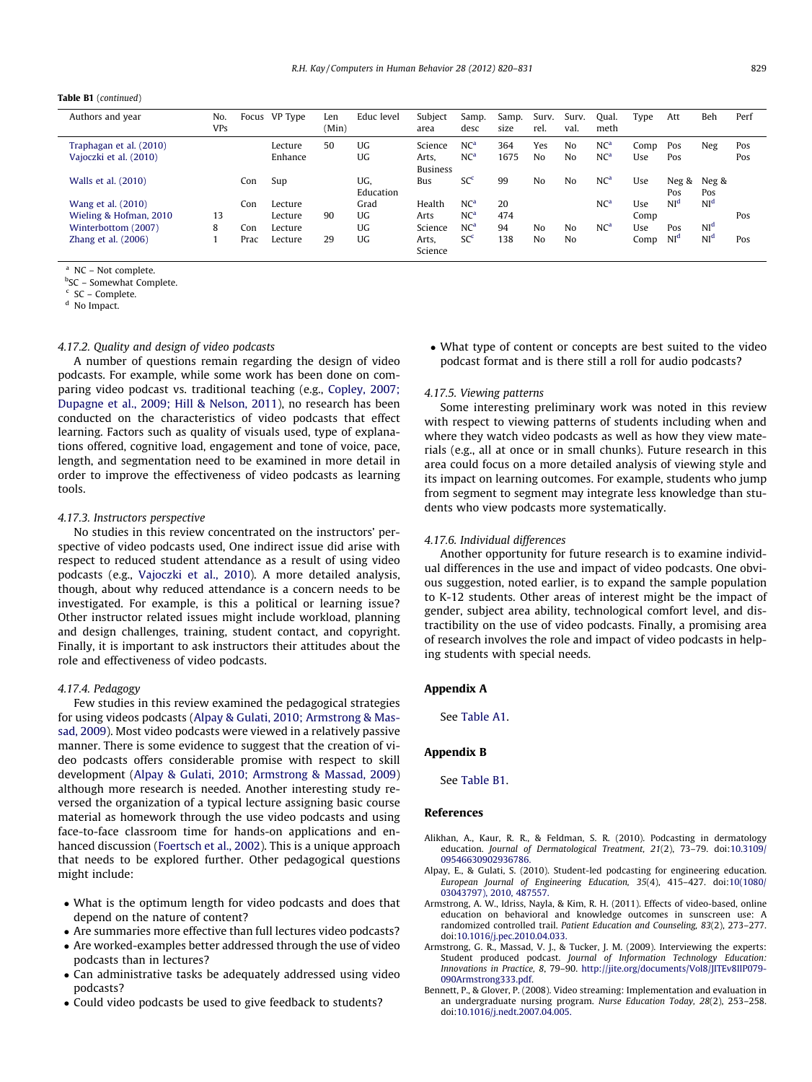#### <span id="page-9-0"></span>Table B1 (continued)

| Authors and year                                  | No.<br><b>VPs</b> | Focus | VP Type            | Len<br>(Min) | Educ level       | Subject<br>area                     | Samp.<br>desc                      | Samp.<br>size | Surv.<br>rel.         | Surv.<br>val.        | Qual.<br>meth                      | Type        | Att             | Beh             | Perf       |
|---------------------------------------------------|-------------------|-------|--------------------|--------------|------------------|-------------------------------------|------------------------------------|---------------|-----------------------|----------------------|------------------------------------|-------------|-----------------|-----------------|------------|
| Traphagan et al. (2010)<br>Vajoczki et al. (2010) |                   |       | Lecture<br>Enhance | 50           | UG<br>UG         | Science<br>Arts.<br><b>Business</b> | NC <sup>a</sup><br>NC <sup>a</sup> | 364<br>1675   | Yes<br>N <sub>0</sub> | No<br>N <sub>0</sub> | NC <sup>a</sup><br>NC <sup>a</sup> | Comp<br>Use | Pos<br>Pos      | Neg             | Pos<br>Pos |
| Walls et al. (2010)                               |                   | Con   | Sup                |              | UG,<br>Education | Bus                                 | SC <sup>c</sup>                    | 99            | No                    | No                   | NC <sup>a</sup>                    | Use         | Neg &<br>Pos    | Neg &<br>Pos    |            |
| Wang et al. (2010)                                |                   | Con   | Lecture            |              | Grad             | Health                              | NC <sup>a</sup>                    | 20            |                       |                      | NC <sup>a</sup>                    | Use         | NI <sup>d</sup> | NI <sup>d</sup> |            |
| Wieling & Hofman, 2010                            | 13                |       | Lecture            | 90           | UG.              | Arts                                | NC <sup>a</sup>                    | 474           |                       |                      |                                    | Comp        |                 |                 | Pos        |
| Winterbottom (2007)                               | 8                 | Con   | Lecture            |              | UG.              | Science                             | NC <sup>a</sup>                    | 94            | No                    | N <sub>0</sub>       | NC <sup>a</sup>                    | Use         | Pos             | NI <sup>d</sup> |            |
| Zhang et al. (2006)                               |                   | Prac  | Lecture            | 29           | UG               | Arts.<br>Science                    | SC <sup>c</sup>                    | 138           | No                    | No                   |                                    | Comp        | NI <sup>d</sup> | NI <sup>d</sup> | Pos        |

<sup>a</sup> NC – Not complete.

<sup>b</sup>SC – Somewhat Complete.

 $c$  SC – Complete.

<sup>d</sup> No Impact.

# 4.17.2. Quality and design of video podcasts

A number of questions remain regarding the design of video podcasts. For example, while some work has been done on comparing video podcast vs. traditional teaching (e.g., [Copley, 2007;](#page-10-0) [Dupagne et al., 2009; Hill & Nelson, 2011\)](#page-10-0), no research has been conducted on the characteristics of video podcasts that effect learning. Factors such as quality of visuals used, type of explanations offered, cognitive load, engagement and tone of voice, pace, length, and segmentation need to be examined in more detail in order to improve the effectiveness of video podcasts as learning tools.

#### 4.17.3. Instructors perspective

No studies in this review concentrated on the instructors' perspective of video podcasts used, One indirect issue did arise with respect to reduced student attendance as a result of using video podcasts (e.g., [Vajoczki et al., 2010](#page-10-0)). A more detailed analysis, though, about why reduced attendance is a concern needs to be investigated. For example, is this a political or learning issue? Other instructor related issues might include workload, planning and design challenges, training, student contact, and copyright. Finally, it is important to ask instructors their attitudes about the role and effectiveness of video podcasts.

#### 4.17.4. Pedagogy

Few studies in this review examined the pedagogical strategies for using videos podcasts (Alpay & Gulati, 2010; Armstrong & Massad, 2009). Most video podcasts were viewed in a relatively passive manner. There is some evidence to suggest that the creation of video podcasts offers considerable promise with respect to skill development (Alpay & Gulati, 2010; Armstrong & Massad, 2009) although more research is needed. Another interesting study reversed the organization of a typical lecture assigning basic course material as homework through the use video podcasts and using face-to-face classroom time for hands-on applications and enhanced discussion [\(Foertsch et al., 2002\)](#page-10-0). This is a unique approach that needs to be explored further. Other pedagogical questions might include:

- What is the optimum length for video podcasts and does that depend on the nature of content?
- Are summaries more effective than full lectures video podcasts?
- Are worked-examples better addressed through the use of video podcasts than in lectures?
- Can administrative tasks be adequately addressed using video podcasts?
- Could video podcasts be used to give feedback to students?

• What type of content or concepts are best suited to the video podcast format and is there still a roll for audio podcasts?

#### 4.17.5. Viewing patterns

Some interesting preliminary work was noted in this review with respect to viewing patterns of students including when and where they watch video podcasts as well as how they view materials (e.g., all at once or in small chunks). Future research in this area could focus on a more detailed analysis of viewing style and its impact on learning outcomes. For example, students who jump from segment to segment may integrate less knowledge than students who view podcasts more systematically.

#### 4.17.6. Individual differences

Another opportunity for future research is to examine individual differences in the use and impact of video podcasts. One obvious suggestion, noted earlier, is to expand the sample population to K-12 students. Other areas of interest might be the impact of gender, subject area ability, technological comfort level, and distractibility on the use of video podcasts. Finally, a promising area of research involves the role and impact of video podcasts in helping students with special needs.

# Appendix A

See [Table A1.](#page-7-0)

# Appendix B

See [Table B1](#page-8-0).

#### References

- Alikhan, A., Kaur, R. R., & Feldman, S. R. (2010). Podcasting in dermatology education. Journal of Dermatological Treatment, 21(2), 73–79. doi:[10.3109/](http://dx.doi.org/10.3109/09546630902936786) [09546630902936786.](http://dx.doi.org/10.3109/09546630902936786)
- Alpay, E., & Gulati, S. (2010). Student-led podcasting for engineering education. European Journal of Engineering Education, 35(4), 415–427. doi[:10\(1080/](http://dx.doi.org/10(1080/03043797),2010,487557) [03043797\), 2010, 487557.](http://dx.doi.org/10(1080/03043797),2010,487557)
- Armstrong, A. W., Idriss, Nayla, & Kim, R. H. (2011). Effects of video-based, online education on behavioral and knowledge outcomes in sunscreen use: A randomized controlled trail. Patient Education and Counseling, 83(2), 273–277. doi[:10.1016/j.pec.2010.04.033.](http://dx.doi.org/10.1016/j.pec.2010.04.033)
- Armstrong, G. R., Massad, V. J., & Tucker, J. M. (2009). Interviewing the experts: Student produced podcast. Journal of Information Technology Education: Innovations in Practice, 8, 79–90. [http://jite.org/documents/Vol8/JITEv8IIP079-](http://jite.org/documents/Vol8/JITEv8IIP079-090Armstrong333.pdf) [090Armstrong333.pdf.](http://jite.org/documents/Vol8/JITEv8IIP079-090Armstrong333.pdf)
- Bennett, P., & Glover, P. (2008). Video streaming: Implementation and evaluation in an undergraduate nursing program. Nurse Education Today, 28(2), 253–258. doi[:10.1016/j.nedt.2007.04.005.](http://dx.doi.org/10.1016/j.nedt.2007.04.005)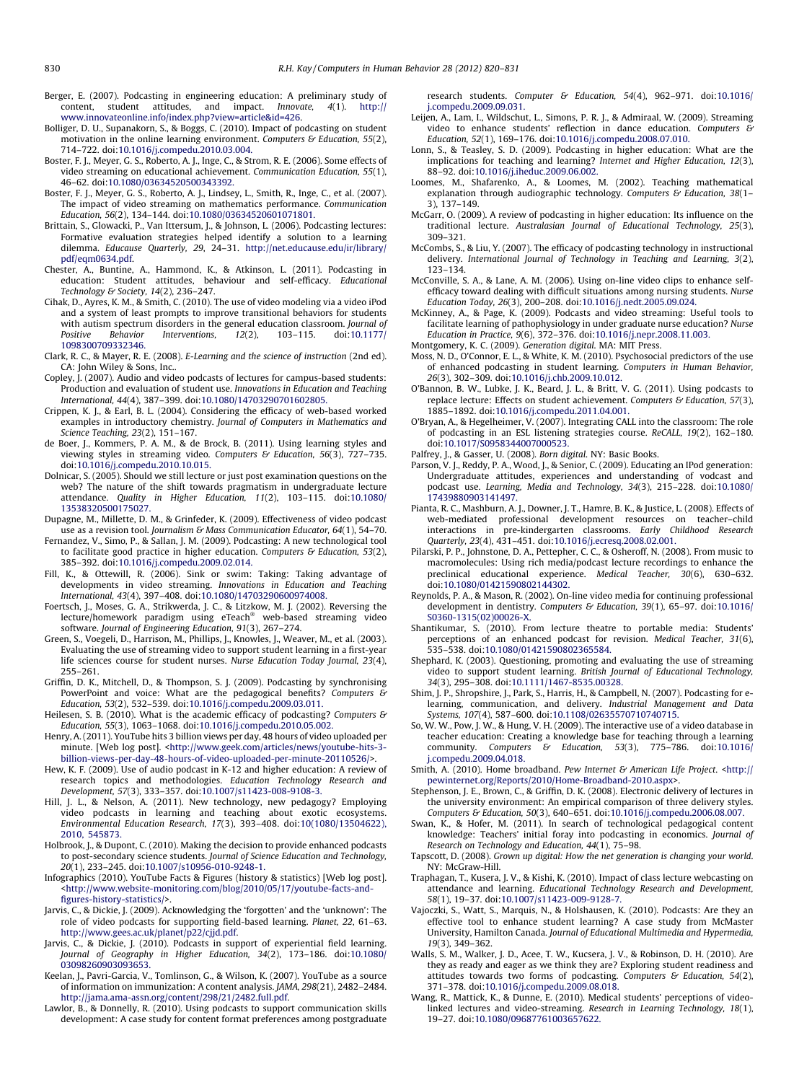- <span id="page-10-0"></span>Berger, E. (2007). Podcasting in engineering education: A preliminary study of content, student attitudes, and impact. *Innovate*, 4(1). http:// content, student attitudes, and impact. Innovate, 4(1). [http://](http://www.innovateonline.info/index.php?view=article&id=426) [www.innovateonline.info/index.php?view=article&id=426](http://www.innovateonline.info/index.php?view=article&id=426).
- Bolliger, D. U., Supanakorn, S., & Boggs, C. (2010). Impact of podcasting on student motivation in the online learning environment. Computers & Education, 55(2), 714–722. doi:[10.1016/j.compedu.2010.03.004.](http://dx.doi.org/10.1016/j.compedu.2010.03.004)
- Boster, F. J., Meyer, G. S., Roberto, A. J., Inge, C., & Strom, R. E. (2006). Some effects of video streaming on educational achievement. Communication Education, 55(1), 46–62. doi[:10.1080/03634520500343392.](http://dx.doi.org/10.1080/03634520500343392)
- Boster, F. J., Meyer, G. S., Roberto, A. J., Lindsey, L., Smith, R., Inge, C., et al. (2007). The impact of video streaming on mathematics performance. Communication Education, 56(2), 134–144. doi:[10.1080/03634520601071801.](http://dx.doi.org/10.1080/03634520601071801)
- Brittain, S., Glowacki, P., Van Ittersum, J., & Johnson, L. (2006). Podcasting lectures: Formative evaluation strategies helped identify a solution to a learning dilemma. Educause Quarterly, 29, 24–31. [http://net.educause.edu/ir/library/](http://net.educause.edu/ir/library/pdf/eqm0634.pdf) [pdf/eqm0634.pdf.](http://net.educause.edu/ir/library/pdf/eqm0634.pdf)
- Chester, A., Buntine, A., Hammond, K., & Atkinson, L. (2011). Podcasting in education: Student attitudes, behaviour and self-efficacy. Educational Technology & Society, 14(2), 236–247.
- Cihak, D., Ayres, K. M., & Smith, C. (2010). The use of video modeling via a video iPod and a system of least prompts to improve transitional behaviors for students with autism spectrum disorders in the general education classroom. Journal of Positive Behavior Interventions, 12(2), 103-115. doi:10.1177/ Interventions, [1098300709332346.](http://dx.doi.org/10.1177/1098300709332346)
- Clark, R. C., & Mayer, R. E. (2008). E-Learning and the science of instruction (2nd ed). CA: John Wiley & Sons, Inc..
- Copley, J. (2007). Audio and video podcasts of lectures for campus-based students: Production and evaluation of student use. Innovations in Education and Teaching International, 44(4), 387–399. doi:[10.1080/14703290701602805.](http://dx.doi.org/10.1080/14703290701602805)
- Crippen, K. J., & Earl, B. L. (2004). Considering the efficacy of web-based worked examples in introductory chemistry. Journal of Computers in Mathematics and Science Teaching, 23(2), 151–167.
- de Boer, J., Kommers, P. A. M., & de Brock, B. (2011). Using learning styles and viewing styles in streaming video. Computers & Education, 56(3), 727-735. doi:[10.1016/j.compedu.2010.10.015.](http://dx.doi.org/10.1016/j.compedu.2010.10.015)
- Dolnicar, S. (2005). Should we still lecture or just post examination questions on the web? The nature of the shift towards pragmatism in undergraduate lecture attendance. Quality in Higher Education, 11(2), 103–115. doi[:10.1080/](http://dx.doi.org/10.1080/13538320500175027) [13538320500175027.](http://dx.doi.org/10.1080/13538320500175027)
- Dupagne, M., Millette, D. M., & Grinfeder, K. (2009). Effectiveness of video podcast use as a revision tool. Journalism & Mass Communication Educator, 64(1), 54-70.
- Fernandez, V., Simo, P., & Sallan, J. M. (2009). Podcasting: A new technological tool to facilitate good practice in higher education. Computers  $\mathcal G$  Education, 53(2), 385–392. doi:[10.1016/j.compedu.2009.02.014.](http://dx.doi.org/10.1016/j.compedu.2009.02.014)
- Fill, K., & Ottewill, R. (2006). Sink or swim: Taking: Taking advantage of developments in video streaming. Innovations in Education and Teaching International, 43(4), 397–408. doi:[10.1080/14703290600974008.](http://dx.doi.org/10.1080/14703290600974008)
- Foertsch, J., Moses, G. A., Strikwerda, J. C., & Litzkow, M. J. (2002). Reversing the lecture/homework paradigm using eTeach web-based streaming video software. Journal of Engineering Education, 91(3), 267–274.
- Green, S., Voegeli, D., Harrison, M., Phillips, J., Knowles, J., Weaver, M., et al. (2003). Evaluating the use of streaming video to support student learning in a first-year life sciences course for student nurses. Nurse Education Today Journal, 23(4), 255–261.
- Griffin, D. K., Mitchell, D., & Thompson, S. J. (2009). Podcasting by synchronising PowerPoint and voice: What are the pedagogical benefits? Computers & Education, 53(2), 532–539. doi:[10.1016/j.compedu.2009.03.011.](http://dx.doi.org/10.1016/j.compedu.2009.03.011)
- Heilesen, S. B. (2010). What is the academic efficacy of podcasting? Computers & Education, 55(3), 1063–1068. doi[:10.1016/j.compedu.2010.05.002.](http://dx.doi.org/10.1016/j.compedu.2010.05.002)
- Henry, A. (2011). YouTube hits 3 billion views per day, 48 hours of video uploaded per minute. [Web log post]. [<http://www.geek.com/articles/news/youtube-hits-3](http://www.geek.com/articles/news/youtube-hits-3-billion-views-per-day-48-hours-of-video-uploaded-per-minute-20110526/) [billion-views-per-day-48-hours-of-video-uploaded-per-minute-20110526/](http://www.geek.com/articles/news/youtube-hits-3-billion-views-per-day-48-hours-of-video-uploaded-per-minute-20110526/)>.
- Hew, K. F. (2009). Use of audio podcast in K-12 and higher education: A review of research topics and methodologies. Education Technology Research and Development, 57(3), 333–357. doi[:10.1007/s11423-008-9108-3.](http://dx.doi.org/10.1007/s11423-008-9108-3)
- Hill, J. L., & Nelson, A. (2011). New technology, new pedagogy? Employing video podcasts in learning and teaching about exotic ecosystems. Environmental Education Research, 17(3), 393–408. doi[:10\(1080/13504622\),](http://dx.doi.org/10(1080/13504622),2010,545873) [2010, 545873.](http://dx.doi.org/10(1080/13504622),2010,545873)
- Holbrook, J., & Dupont, C. (2010). Making the decision to provide enhanced podcasts to post-secondary science students. Journal of Science Education and Technology, 20(1), 233–245. doi[:10.1007/s10956-010-9248-1.](http://dx.doi.org/10.1007/s10956-010-9248-1)
- Infographics (2010). YouTube Facts & Figures (history & statistics) [Web log post]. [<http://www.website-monitoring.com/blog/2010/05/17/youtube-facts-and](http://www.website-monitoring.com/blog/2010/05/17/youtube-facts-and-figures-history-statistics/)[figures-history-statistics/>](http://www.website-monitoring.com/blog/2010/05/17/youtube-facts-and-figures-history-statistics/).
- Jarvis, C., & Dickie, J. (2009). Acknowledging the 'forgotten' and the 'unknown': The role of video podcasts for supporting field-based learning. Planet, 22, 61–63. <http://www.gees.ac.uk/planet/p22/cjjd.pdf>.
- Jarvis, C., & Dickie, J. (2010). Podcasts in support of experiential field learning. Journal of Geography in Higher Education, 34(2), 173–186. doi[:10.1080/](http://dx.doi.org/10.1080/03098260903093653) [03098260903093653.](http://dx.doi.org/10.1080/03098260903093653)
- Keelan, J., Pavri-Garcia, V., Tomlinson, G., & Wilson, K. (2007). YouTube as a source of information on immunization: A content analysis. JAMA, 298(21), 2482–2484. [http://jama.ama-assn.org/content/298/21/2482.full.pdf.](http://jama.ama-assn.org/content/298/21/2482.full.pdf)
- Lawlor, B., & Donnelly, R. (2010). Using podcasts to support communication skills development: A case study for content format preferences among postgraduate

research students. Computer & Education, 54(4), 962–971. doi[:10.1016/](http://dx.doi.org/10.1016/j.compedu.2009.09.031) [j.compedu.2009.09.031.](http://dx.doi.org/10.1016/j.compedu.2009.09.031)

- Leijen, A., Lam, I., Wildschut, L., Simons, P. R. J., & Admiraal, W. (2009). Streaming video to enhance students' reflection in dance education. Computers & Education, 52(1), 169–176. doi:[10.1016/j.compedu.2008.07.010.](http://dx.doi.org/10.1016/j.compedu.2008.07.010)
- Lonn, S., & Teasley, S. D. (2009). Podcasting in higher education: What are the implications for teaching and learning? Internet and Higher Education, 12(3), 88–92. doi[:10.1016/j.iheduc.2009.06.002.](http://dx.doi.org/10.1016/j.iheduc.2009.06.002)
- Loomes, M., Shafarenko, A., & Loomes, M. (2002). Teaching mathematical explanation through audiographic technology. Computers & Education, 38(1-3), 137–149.
- McGarr, O. (2009). A review of podcasting in higher education: Its influence on the traditional lecture. Australasian Journal of Educational Technology, 25(3), 309–321.
- McCombs, S., & Liu, Y. (2007). The efficacy of podcasting technology in instructional delivery. International Journal of Technology in Teaching and Learning, 3(2), 123–134.
- McConville, S. A., & Lane, A. M. (2006). Using on-line video clips to enhance selfefficacy toward dealing with difficult situations among nursing students. Nurse Education Today, 26(3), 200–208. doi[:10.1016/j.nedt.2005.09.024.](http://dx.doi.org/10.1016/j.nedt.2005.09.024)
- McKinney, A., & Page, K. (2009). Podcasts and video streaming: Useful tools to facilitate learning of pathophysiology in under graduate nurse education? Nurse Education in Practice, 9(6), 372–376. doi:[10.1016/j.nepr.2008.11.003.](http://dx.doi.org/10.1016/j.nepr.2008.11.003)
- Montgomery, K. C. (2009). Generation digital. MA: MIT Press.
- Moss, N. D., O'Connor, E. L., & White, K. M. (2010). Psychosocial predictors of the use of enhanced podcasting in student learning. Computers in Human Behavior, 26(3), 302–309. doi[:10.1016/j.chb.2009.10.012.](http://dx.doi.org/10.1016/j.chb.2009.10.012)
- O'Bannon, B. W., Lubke, J. K., Beard, J. L., & Britt, V. G. (2011). Using podcasts to replace lecture: Effects on student achievement. Computers & Education, 57(3), 1885–1892. doi:[10.1016/j.compedu.2011.04.001.](http://dx.doi.org/10.1016/j.compedu.2011.04.001)
- O'Bryan, A., & Hegelheimer, V. (2007). Integrating CALL into the classroom: The role of podcasting in an ESL listening strategies course. ReCALL, 19(2), 162–180. doi:[10.1017/S0958344007000523.](http://dx.doi.org/10.1017/S0958344007000523)
- Palfrey, J., & Gasser, U. (2008). Born digital. NY: Basic Books.
- Parson, V. J., Reddy, P. A., Wood, J., & Senior, C. (2009). Educating an IPod generation: Undergraduate attitudes, experiences and understanding of vodcast and podcast use. Learning, Media and Technology, 34(3), 215–228. doi[:10.1080/](http://dx.doi.org/10.1080/17439880903141497) [17439880903141497.](http://dx.doi.org/10.1080/17439880903141497)
- Pianta, R. C., Mashburn, A. J., Downer, J. T., Hamre, B. K., & Justice, L. (2008). Effects of web-mediated professional development resources on teacher–child interactions in pre-kindergarten classrooms. Early Childhood Research Quarterly, 23(4), 431–451. doi:[10.1016/j.ecresq.2008.02.001.](http://dx.doi.org/10.1016/j.ecresq.2008.02.001)
- Pilarski, P. P., Johnstone, D. A., Pettepher, C. C., & Osheroff, N. (2008). From music to macromolecules: Using rich media/podcast lecture recordings to enhance the preclinical educational experience. Medical Teacher, 30(6), 630-632. doi:[10.1080/01421590802144302.](http://dx.doi.org/10.1080/01421590802144302)
- Reynolds, P. A., & Mason, R. (2002). On-line video media for continuing professional development in dentistry. Computers & Education, 39(1), 65-97. doi[:10.1016/](http://dx.doi.org/10.1016/S0360-1315(02)00026-X) [S0360-1315\(02\)00026-X.](http://dx.doi.org/10.1016/S0360-1315(02)00026-X)
- Shantikumar, S. (2010). From lecture theatre to portable media: Students' perceptions of an enhanced podcast for revision. Medical Teacher, 31(6), 535–538. doi:[10.1080/01421590802365584.](http://dx.doi.org/10.1080/01421590802365584)
- Shephard, K. (2003). Questioning, promoting and evaluating the use of streaming video to support student learning. British Journal of Educational Technology, 34(3), 295–308. doi[:10.1111/1467-8535.00328.](http://dx.doi.org/10.1111/1467-8535.00328)
- Shim, J. P., Shropshire, J., Park, S., Harris, H., & Campbell, N. (2007). Podcasting for elearning, communication, and delivery. Industrial Management and Data Systems, 107(4), 587–600. doi:[10.1108/02635570710740715.](http://dx.doi.org/10.1108/02635570710740715)
- So, W. W., Pow, J. W., & Hung, V. H. (2009). The interactive use of a video database in teacher education: Creating a knowledge base for teaching through a learning<br>community. Computers & Education, 53(3), 775–786. doi:10.1016 [j.compedu.2009.04.018.](http://dx.doi.org/10.1016/j.compedu.2009.04.018)
- Smith, A. (2010). Home broadband. Pew Internet & American Life Project. [<http://](http://pewinternet.org/Reports/2010/Home-Broadband-2010.aspx) [pewinternet.org/Reports/2010/Home-Broadband-2010.aspx>](http://pewinternet.org/Reports/2010/Home-Broadband-2010.aspx).
- Stephenson, J. E., Brown, C., & Griffin, D. K. (2008). Electronic delivery of lectures in the university environment: An empirical comparison of three delivery styles. Computers & Education, 50(3), 640–651. doi:[10.1016/j.compedu.2006.08.007.](http://dx.doi.org/10.1016/j.compedu.2006.08.007)
- Swan, K., & Hofer, M. (2011). In search of technological pedagogical content knowledge: Teachers' initial foray into podcasting in economics. Journal of Research on Technology and Education, 44(1), 75–98.
- Tapscott, D. (2008). Grown up digital: How the net generation is changing your world. NY: McGraw-Hill.
- Traphagan, T., Kusera, J. V., & Kishi, K. (2010). Impact of class lecture webcasting on attendance and learning. Educational Technology Research and Development, 58(1), 19–37. doi:[10.1007/s11423-009-9128-7.](http://dx.doi.org/10.1007/s11423-009-9128-7)
- Vajoczki, S., Watt, S., Marquis, N., & Holshausen, K. (2010). Podcasts: Are they an effective tool to enhance student learning? A case study from McMaster University, Hamilton Canada. Journal of Educational Multimedia and Hypermedia, 19(3), 349–362.
- Walls, S. M., Walker, J. D., Acee, T. W., Kucsera, J. V., & Robinson, D. H. (2010). Are they as ready and eager as we think they are? Exploring student readiness and attitudes towards two forms of podcasting. Computers  $\mathcal G$  Education, 54(2), 371–378. doi:[10.1016/j.compedu.2009.08.018.](http://dx.doi.org/10.1016/j.compedu.2009.08.018)
- Wang, R., Mattick, K., & Dunne, E. (2010). Medical students' perceptions of videolinked lectures and video-streaming. Research in Learning Technology, 18(1), 19–27. doi[:10.1080/09687761003657622.](http://dx.doi.org/10.1080/09687761003657622)